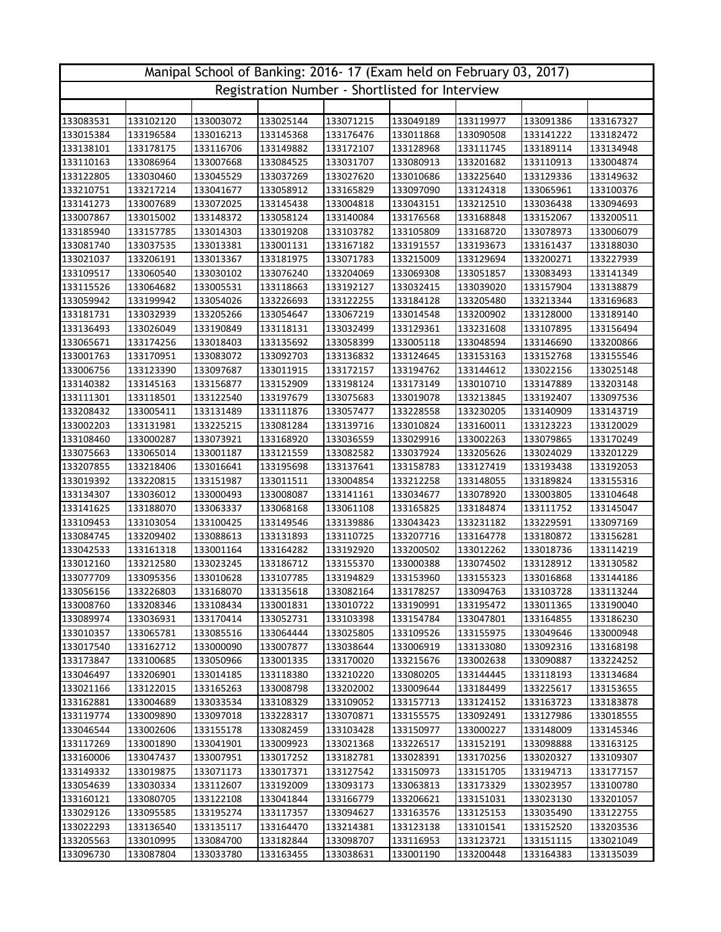| Manipal School of Banking: 2016-17 (Exam held on February 03, 2017) |                        |                        |                        |                                                 |                        |                        |                        |                        |  |  |
|---------------------------------------------------------------------|------------------------|------------------------|------------------------|-------------------------------------------------|------------------------|------------------------|------------------------|------------------------|--|--|
|                                                                     |                        |                        |                        | Registration Number - Shortlisted for Interview |                        |                        |                        |                        |  |  |
|                                                                     |                        |                        |                        |                                                 |                        |                        |                        |                        |  |  |
| 133083531                                                           | 133102120              | 133003072              | 133025144              | 133071215                                       | 133049189              | 133119977              | 133091386              | 133167327              |  |  |
| 133015384                                                           | 133196584              | 133016213              | 133145368              | 133176476                                       | 133011868              | 133090508              | 133141222              | 133182472              |  |  |
| 133138101                                                           | 133178175              | 133116706              | 133149882              | 133172107                                       | 133128968              | 133111745              | 133189114              | 133134948              |  |  |
| 133110163                                                           | 133086964              | 133007668              | 133084525              | 133031707                                       | 133080913              | 133201682              | 133110913              | 133004874              |  |  |
| 133122805                                                           | 133030460              | 133045529              | 133037269              | 133027620                                       | 133010686              | 133225640              | 133129336              | 133149632              |  |  |
| 133210751                                                           | 133217214              | 133041677              | 133058912              | 133165829                                       | 133097090              | 133124318              | 133065961              | 133100376              |  |  |
| 133141273                                                           | 133007689              | 133072025              | 133145438              | 133004818                                       | 133043151              | 133212510              | 133036438              | 133094693              |  |  |
| 133007867                                                           | 133015002              | 133148372              | 133058124              | 133140084                                       | 133176568              | 133168848              | 133152067              | 133200511              |  |  |
| 133185940                                                           | 133157785              | 133014303              | 133019208              | 133103782                                       | 133105809              | 133168720              | 133078973              | 133006079              |  |  |
| 133081740                                                           | 133037535              | 133013381              | 133001131              | 133167182                                       | 133191557              | 133193673              | 133161437              | 133188030              |  |  |
| 133021037                                                           | 133206191              | 133013367              | 133181975              | 133071783                                       | 133215009              | 133129694              | 133200271              | 133227939              |  |  |
| 133109517                                                           | 133060540              | 133030102              | 133076240              | 133204069                                       | 133069308              | 133051857              | 133083493              | 133141349              |  |  |
| 133115526                                                           | 133064682              | 133005531              | 133118663              | 133192127                                       | 133032415              | 133039020              | 133157904              | 133138879              |  |  |
| 133059942                                                           | 133199942              | 133054026              | 133226693              | 133122255                                       | 133184128              | 133205480              | 133213344              | 133169683              |  |  |
| 133181731                                                           | 133032939              | 133205266              | 133054647              | 133067219                                       | 133014548              | 133200902              | 133128000              | 133189140              |  |  |
| 133136493                                                           | 133026049              | 133190849              | 133118131              | 133032499                                       | 133129361              | 133231608              | 133107895              | 133156494              |  |  |
| 133065671                                                           | 133174256              | 133018403              | 133135692              | 133058399                                       | 133005118              | 133048594              | 133146690              | 133200866              |  |  |
| 133001763                                                           | 133170951              | 133083072              | 133092703              | 133136832                                       | 133124645              | 133153163              | 133152768              | 133155546              |  |  |
| 133006756                                                           | 133123390              | 133097687              | 133011915              | 133172157                                       | 133194762              | 133144612              | 133022156              | 133025148              |  |  |
| 133140382                                                           | 133145163              | 133156877              | 133152909              | 133198124                                       | 133173149              | 133010710              | 133147889              | 133203148              |  |  |
| 133111301                                                           | 133118501              | 133122540              | 133197679              | 133075683                                       | 133019078              | 133213845              | 133192407              | 133097536              |  |  |
| 133208432                                                           | 133005411              | 133131489              | 133111876              | 133057477                                       | 133228558              | 133230205              | 133140909              | 133143719              |  |  |
| 133002203                                                           | 133131981              | 133225215              | 133081284              | 133139716                                       | 133010824              | 133160011              | 133123223              | 133120029              |  |  |
| 133108460                                                           | 133000287              | 133073921              | 133168920              | 133036559                                       | 133029916              | 133002263              | 133079865              | 133170249              |  |  |
| 133075663                                                           | 133065014              | 133001187              | 133121559              | 133082582                                       | 133037924              | 133205626              | 133024029              | 133201229              |  |  |
| 133207855                                                           | 133218406              | 133016641              | 133195698              | 133137641                                       | 133158783              | 133127419              | 133193438              | 133192053              |  |  |
| 133019392                                                           | 133220815              | 133151987              | 133011511              | 133004854                                       | 133212258              | 133148055              | 133189824              | 133155316              |  |  |
| 133134307                                                           | 133036012              | 133000493              | 133008087              | 133141161                                       | 133034677              | 133078920              | 133003805              | 133104648              |  |  |
| 133141625                                                           | 133188070              | 133063337              | 133068168              | 133061108                                       | 133165825              | 133184874              | 133111752              | 133145047              |  |  |
| 133109453                                                           | 133103054              | 133100425<br>133088613 | 133149546              | 133139886                                       | 133043423              | 133231182              | 133229591<br>133180872 | 133097169              |  |  |
| 133084745<br>133042533                                              | 133209402              | 133001164              | 133131893              | 133110725<br>133192920                          | 133207716              | 133164778              |                        | 133156281              |  |  |
| 133012160                                                           | 133161318<br>133212580 | 133023245              | 133164282<br>133186712 | 133155370                                       | 133200502<br>133000388 | 133012262<br>133074502 | 133018736<br>133128912 | 133114219<br>133130582 |  |  |
| 133077709                                                           | 133095356              | 133010628              | 133107785              | 133194829                                       | 133153960              | 133155323              | 133016868              | 133144186              |  |  |
| 133056156                                                           | 133226803              | 133168070              | 133135618              | 133082164                                       | 133178257              | 133094763              | 133103728              | 133113244              |  |  |
| 133008760                                                           | 133208346              | 133108434              | 133001831              | 133010722                                       | 133190991              | 133195472              | 133011365              | 133190040              |  |  |
| 133089974                                                           | 133036931              | 133170414              | 133052731              | 133103398                                       | 133154784              | 133047801              | 133164855              | 133186230              |  |  |
| 133010357                                                           | 133065781              | 133085516              | 133064444              | 133025805                                       | 133109526              | 133155975              | 133049646              | 133000948              |  |  |
| 133017540                                                           | 133162712              | 133000090              | 133007877              | 133038644                                       | 133006919              | 133133080              | 133092316              | 133168198              |  |  |
| 133173847                                                           | 133100685              | 133050966              | 133001335              | 133170020                                       | 133215676              | 133002638              | 133090887              | 133224252              |  |  |
| 133046497                                                           | 133206901              | 133014185              | 133118380              | 133210220                                       | 133080205              | 133144445              | 133118193              | 133134684              |  |  |
| 133021166                                                           | 133122015              | 133165263              | 133008798              | 133202002                                       | 133009644              | 133184499              | 133225617              | 133153655              |  |  |
| 133162881                                                           | 133004689              | 133033534              | 133108329              | 133109052                                       | 133157713              | 133124152              | 133163723              | 133183878              |  |  |
| 133119774                                                           | 133009890              | 133097018              | 133228317              | 133070871                                       | 133155575              | 133092491              | 133127986              | 133018555              |  |  |
| 133046544                                                           | 133002606              | 133155178              | 133082459              | 133103428                                       | 133150977              | 133000227              | 133148009              | 133145346              |  |  |
| 133117269                                                           | 133001890              | 133041901              | 133009923              | 133021368                                       | 133226517              | 133152191              | 133098888              | 133163125              |  |  |
| 133160006                                                           | 133047437              | 133007951              | 133017252              | 133182781                                       | 133028391              | 133170256              | 133020327              | 133109307              |  |  |
| 133149332                                                           | 133019875              | 133071173              | 133017371              | 133127542                                       | 133150973              | 133151705              | 133194713              | 133177157              |  |  |
| 133054639                                                           | 133030334              | 133112607              | 133192009              | 133093173                                       | 133063813              | 133173329              | 133023957              | 133100780              |  |  |
| 133160121                                                           | 133080705              | 133122108              | 133041844              | 133166779                                       | 133206621              | 133151031              | 133023130              | 133201057              |  |  |
| 133029126                                                           | 133095585              | 133195274              | 133117357              | 133094627                                       | 133163576              | 133125153              | 133035490              | 133122755              |  |  |
| 133022293                                                           | 133136540              | 133135117              | 133164470              | 133214381                                       | 133123138              | 133101541              | 133152520              | 133203536              |  |  |
| 133205563                                                           | 133010995              | 133084700              | 133182844              | 133098707                                       | 133116953              | 133123721              | 133151115              | 133021049              |  |  |
| 133096730                                                           | 133087804              | 133033780              | 133163455              | 133038631                                       | 133001190              | 133200448              | 133164383              | 133135039              |  |  |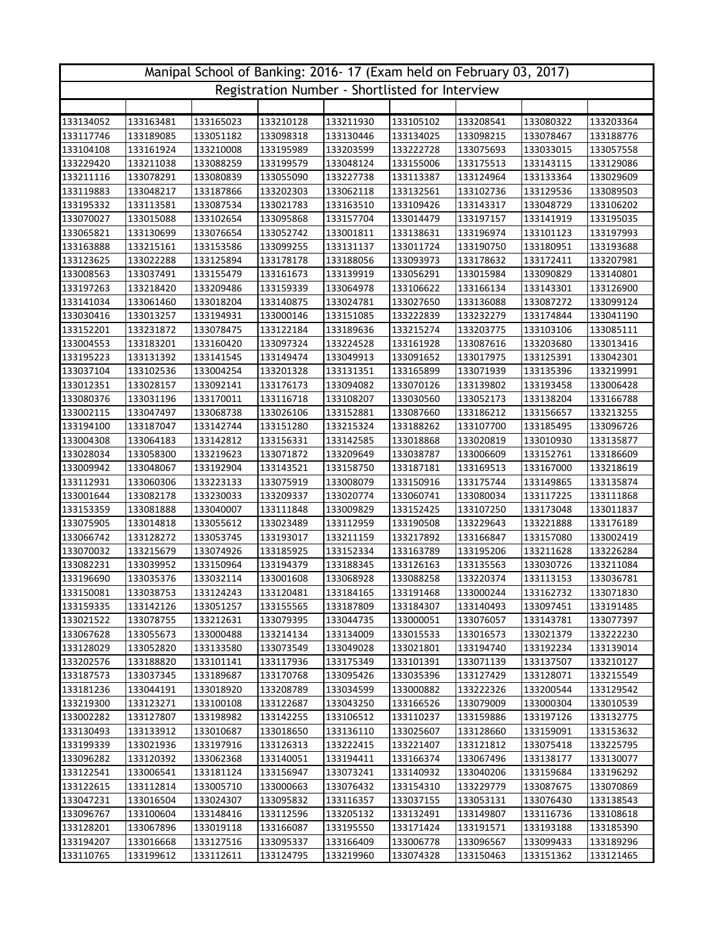| Manipal School of Banking: 2016-17 (Exam held on February 03, 2017) |                        |                        |                        |                                                 |                        |                        |                        |                        |  |  |
|---------------------------------------------------------------------|------------------------|------------------------|------------------------|-------------------------------------------------|------------------------|------------------------|------------------------|------------------------|--|--|
|                                                                     |                        |                        |                        | Registration Number - Shortlisted for Interview |                        |                        |                        |                        |  |  |
|                                                                     |                        |                        |                        |                                                 |                        |                        |                        |                        |  |  |
| 133134052                                                           | 133163481              | 133165023              | 133210128              | 133211930                                       | 133105102              | 133208541              | 133080322              | 133203364              |  |  |
| 133117746                                                           | 133189085              | 133051182              | 133098318              | 133130446                                       | 133134025              | 133098215              | 133078467              | 133188776              |  |  |
| 133104108                                                           | 133161924              | 133210008              | 133195989              | 133203599                                       | 133222728              | 133075693              | 133033015              | 133057558              |  |  |
| 133229420                                                           | 133211038              | 133088259              | 133199579              | 133048124                                       | 133155006              | 133175513              | 133143115              | 133129086              |  |  |
| 133211116                                                           | 133078291              | 133080839              | 133055090              | 133227738                                       | 133113387              | 133124964              | 133133364              | 133029609              |  |  |
| 133119883                                                           | 133048217              | 133187866              | 133202303              | 133062118                                       | 133132561              | 133102736              | 133129536              | 133089503              |  |  |
| 133195332                                                           | 133113581              | 133087534              | 133021783              | 133163510                                       | 133109426              | 133143317              | 133048729              | 133106202              |  |  |
| 133070027                                                           | 133015088              | 133102654              | 133095868              | 133157704                                       | 133014479              | 133197157              | 133141919              | 133195035              |  |  |
| 133065821                                                           | 133130699              | 133076654              | 133052742              | 133001811                                       | 133138631              | 133196974              | 133101123              | 133197993              |  |  |
| 133163888                                                           | 133215161              | 133153586              | 133099255              | 133131137                                       | 133011724              | 133190750              | 133180951              | 133193688              |  |  |
| 133123625                                                           | 133022288              | 133125894              | 133178178              | 133188056                                       | 133093973              | 133178632              | 133172411              | 133207981              |  |  |
| 133008563                                                           | 133037491              | 133155479              | 133161673              | 133139919                                       | 133056291              | 133015984              | 133090829              | 133140801              |  |  |
| 133197263                                                           | 133218420              | 133209486              | 133159339              | 133064978                                       | 133106622              | 133166134              | 133143301              | 133126900              |  |  |
| 133141034                                                           | 133061460              | 133018204              | 133140875              | 133024781                                       | 133027650              | 133136088              | 133087272              | 133099124              |  |  |
| 133030416                                                           | 133013257              | 133194931              | 133000146              | 133151085                                       | 133222839              | 133232279              | 133174844              | 133041190              |  |  |
| 133152201                                                           | 133231872              | 133078475              | 133122184              | 133189636                                       | 133215274              | 133203775              | 133103106              | 133085111              |  |  |
| 133004553                                                           | 133183201              | 133160420              | 133097324              | 133224528                                       | 133161928              | 133087616              | 133203680              | 133013416              |  |  |
| 133195223                                                           | 133131392              | 133141545              | 133149474              | 133049913                                       | 133091652              | 133017975              | 133125391              | 133042301              |  |  |
| 133037104                                                           | 133102536              | 133004254              | 133201328              | 133131351                                       | 133165899              | 133071939              | 133135396              | 133219991              |  |  |
| 133012351                                                           | 133028157              | 133092141              | 133176173              | 133094082                                       | 133070126              | 133139802              | 133193458              | 133006428              |  |  |
| 133080376                                                           | 133031196              | 133170011              | 133116718              | 133108207                                       | 133030560              | 133052173              | 133138204              | 133166788              |  |  |
| 133002115                                                           | 133047497              | 133068738              | 133026106              | 133152881                                       | 133087660              | 133186212              | 133156657              | 133213255              |  |  |
| 133194100                                                           | 133187047              | 133142744              | 133151280              | 133215324                                       | 133188262              | 133107700              | 133185495              | 133096726              |  |  |
| 133004308                                                           | 133064183              | 133142812              | 133156331              | 133142585                                       | 133018868              | 133020819              | 133010930              | 133135877              |  |  |
| 133028034                                                           | 133058300              | 133219623              | 133071872              | 133209649                                       | 133038787              | 133006609              | 133152761              | 133186609              |  |  |
| 133009942                                                           | 133048067              | 133192904              | 133143521              | 133158750                                       | 133187181              | 133169513              | 133167000              | 133218619              |  |  |
| 133112931                                                           | 133060306              | 133223133              | 133075919              | 133008079                                       | 133150916              | 133175744              | 133149865              | 133135874              |  |  |
| 133001644                                                           | 133082178              | 133230033              | 133209337              | 133020774                                       | 133060741              | 133080034              | 133117225              | 133111868              |  |  |
| 133153359                                                           | 133081888              | 133040007              | 133111848              | 133009829                                       | 133152425              | 133107250              | 133173048              | 133011837              |  |  |
| 133075905                                                           | 133014818              | 133055612              | 133023489              | 133112959                                       | 133190508              | 133229643              | 133221888              | 133176189              |  |  |
| 133066742                                                           | 133128272              | 133053745              | 133193017              | 133211159                                       | 133217892              | 133166847              | 133157080              | 133002419              |  |  |
| 133070032                                                           | 133215679              | 133074926              | 133185925              | 133152334                                       | 133163789              | 133195206              | 133211628              | 133226284              |  |  |
| 133082231                                                           | 133039952              | 133150964              | 133194379              | 133188345                                       | 133126163              | 133135563              | 133030726              | 133211084              |  |  |
| 133196690                                                           | 133035376              | 133032114              | 133001608              | 133068928                                       | 133088258              | 133220374<br>133000244 | 133113153              | 133036781              |  |  |
| 133150081                                                           | 133038753              | 133124243              | 133120481              | 133184165                                       | 133191468              |                        | 133162732              | 133071830              |  |  |
| 133159335<br>133021522                                              | 133142126<br>133078755 | 133051257              | 133155565              | 133187809                                       | 133184307              | 133140493              | 133097451              | 133191485              |  |  |
|                                                                     | 133055673              | 133212631              | 133079395              | 133044735                                       | 133000051              | 133076057              | 133143781              | 133077397              |  |  |
| 133067628<br>133128029                                              | 133052820              | 133000488<br>133133580 | 133214134<br>133073549 | 133134009<br>133049028                          | 133015533<br>133021801 | 133016573<br>133194740 | 133021379<br>133192234 | 133222230              |  |  |
| 133202576                                                           | 133188820              | 133101141              | 133117936              | 133175349                                       | 133101391              | 133071139              | 133137507              | 133139014<br>133210127 |  |  |
| 133187573                                                           | 133037345              | 133189687              | 133170768              | 133095426                                       | 133035396              | 133127429              | 133128071              | 133215549              |  |  |
| 133181236                                                           | 133044191              | 133018920              | 133208789              | 133034599                                       | 133000882              | 133222326              | 133200544              | 133129542              |  |  |
| 133219300                                                           | 133123271              | 133100108              | 133122687              | 133043250                                       | 133166526              | 133079009              | 133000304              | 133010539              |  |  |
| 133002282                                                           | 133127807              | 133198982              | 133142255              | 133106512                                       | 133110237              | 133159886              | 133197126              | 133132775              |  |  |
| 133130493                                                           | 133133912              | 133010687              | 133018650              | 133136110                                       | 133025607              | 133128660              | 133159091              | 133153632              |  |  |
| 133199339                                                           | 133021936              | 133197916              | 133126313              | 133222415                                       | 133221407              | 133121812              | 133075418              | 133225795              |  |  |
| 133096282                                                           | 133120392              | 133062368              | 133140051              | 133194411                                       | 133166374              | 133067496              | 133138177              | 133130077              |  |  |
| 133122541                                                           | 133006541              | 133181124              | 133156947              | 133073241                                       | 133140932              | 133040206              | 133159684              | 133196292              |  |  |
| 133122615                                                           | 133112814              | 133005710              | 133000663              | 133076432                                       | 133154310              | 133229779              | 133087675              | 133070869              |  |  |
| 133047231                                                           | 133016504              | 133024307              | 133095832              | 133116357                                       | 133037155              | 133053131              | 133076430              | 133138543              |  |  |
| 133096767                                                           | 133100604              | 133148416              | 133112596              | 133205132                                       | 133132491              | 133149807              | 133116736              | 133108618              |  |  |
| 133128201                                                           | 133067896              | 133019118              | 133166087              | 133195550                                       | 133171424              | 133191571              | 133193188              | 133185390              |  |  |
| 133194207                                                           | 133016668              | 133127516              | 133095337              | 133166409                                       | 133006778              | 133096567              | 133099433              | 133189296              |  |  |
| 133110765                                                           | 133199612              | 133112611              | 133124795              | 133219960                                       | 133074328              | 133150463              | 133151362              | 133121465              |  |  |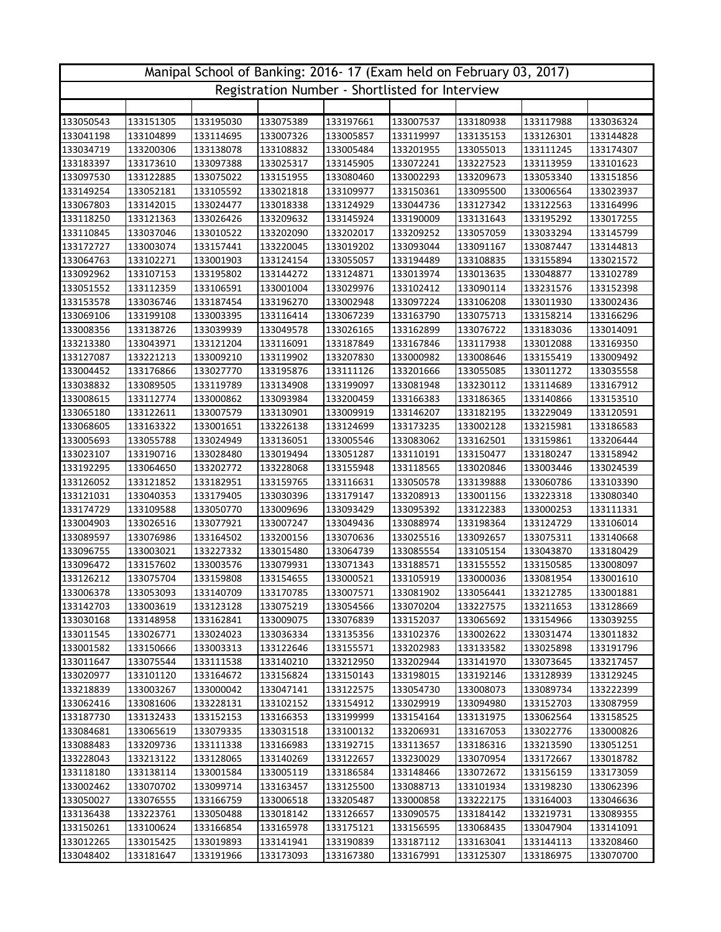| Manipal School of Banking: 2016-17 (Exam held on February 03, 2017) |           |           |           |                                                 |           |           |           |           |  |  |
|---------------------------------------------------------------------|-----------|-----------|-----------|-------------------------------------------------|-----------|-----------|-----------|-----------|--|--|
|                                                                     |           |           |           | Registration Number - Shortlisted for Interview |           |           |           |           |  |  |
|                                                                     |           |           |           |                                                 |           |           |           |           |  |  |
| 133050543                                                           | 133151305 | 133195030 | 133075389 | 133197661                                       | 133007537 | 133180938 | 133117988 | 133036324 |  |  |
| 133041198                                                           | 133104899 | 133114695 | 133007326 | 133005857                                       | 133119997 | 133135153 | 133126301 | 133144828 |  |  |
| 133034719                                                           | 133200306 | 133138078 | 133108832 | 133005484                                       | 133201955 | 133055013 | 133111245 | 133174307 |  |  |
| 133183397                                                           | 133173610 | 133097388 | 133025317 | 133145905                                       | 133072241 | 133227523 | 133113959 | 133101623 |  |  |
| 133097530                                                           | 133122885 | 133075022 | 133151955 | 133080460                                       | 133002293 | 133209673 | 133053340 | 133151856 |  |  |
| 133149254                                                           | 133052181 | 133105592 | 133021818 | 133109977                                       | 133150361 | 133095500 | 133006564 | 133023937 |  |  |
| 133067803                                                           | 133142015 | 133024477 | 133018338 | 133124929                                       | 133044736 | 133127342 | 133122563 | 133164996 |  |  |
| 133118250                                                           | 133121363 | 133026426 | 133209632 | 133145924                                       | 133190009 | 133131643 | 133195292 | 133017255 |  |  |
| 133110845                                                           | 133037046 | 133010522 | 133202090 | 133202017                                       | 133209252 | 133057059 | 133033294 | 133145799 |  |  |
| 133172727                                                           | 133003074 | 133157441 | 133220045 | 133019202                                       | 133093044 | 133091167 | 133087447 | 133144813 |  |  |
| 133064763                                                           | 133102271 | 133001903 | 133124154 | 133055057                                       | 133194489 | 133108835 | 133155894 | 133021572 |  |  |
| 133092962                                                           | 133107153 | 133195802 | 133144272 | 133124871                                       | 133013974 | 133013635 | 133048877 | 133102789 |  |  |
| 133051552                                                           | 133112359 | 133106591 | 133001004 | 133029976                                       | 133102412 | 133090114 | 133231576 | 133152398 |  |  |
| 133153578                                                           | 133036746 | 133187454 | 133196270 | 133002948                                       | 133097224 | 133106208 | 133011930 | 133002436 |  |  |
| 133069106                                                           | 133199108 | 133003395 | 133116414 | 133067239                                       | 133163790 | 133075713 | 133158214 | 133166296 |  |  |
| 133008356                                                           | 133138726 | 133039939 | 133049578 | 133026165                                       | 133162899 | 133076722 | 133183036 | 133014091 |  |  |
| 133213380                                                           | 133043971 | 133121204 | 133116091 | 133187849                                       | 133167846 | 133117938 | 133012088 | 133169350 |  |  |
| 133127087                                                           | 133221213 | 133009210 | 133119902 | 133207830                                       | 133000982 | 133008646 | 133155419 | 133009492 |  |  |
| 133004452                                                           | 133176866 | 133027770 | 133195876 | 133111126                                       | 133201666 | 133055085 | 133011272 | 133035558 |  |  |
| 133038832                                                           | 133089505 | 133119789 | 133134908 | 133199097                                       | 133081948 | 133230112 | 133114689 | 133167912 |  |  |
| 133008615                                                           | 133112774 | 133000862 | 133093984 | 133200459                                       | 133166383 | 133186365 | 133140866 | 133153510 |  |  |
| 133065180                                                           | 133122611 | 133007579 | 133130901 | 133009919                                       | 133146207 | 133182195 | 133229049 | 133120591 |  |  |
| 133068605                                                           | 133163322 | 133001651 | 133226138 | 133124699                                       | 133173235 | 133002128 | 133215981 | 133186583 |  |  |
| 133005693                                                           | 133055788 | 133024949 | 133136051 | 133005546                                       | 133083062 | 133162501 | 133159861 | 133206444 |  |  |
| 133023107                                                           | 133190716 | 133028480 | 133019494 | 133051287                                       | 133110191 | 133150477 | 133180247 | 133158942 |  |  |
| 133192295                                                           | 133064650 | 133202772 | 133228068 | 133155948                                       | 133118565 | 133020846 | 133003446 | 133024539 |  |  |
| 133126052                                                           | 133121852 | 133182951 | 133159765 | 133116631                                       | 133050578 | 133139888 | 133060786 | 133103390 |  |  |
| 133121031                                                           | 133040353 | 133179405 | 133030396 | 133179147                                       | 133208913 | 133001156 | 133223318 | 133080340 |  |  |
| 133174729                                                           | 133109588 | 133050770 | 133009696 | 133093429                                       | 133095392 | 133122383 | 133000253 | 133111331 |  |  |
| 133004903                                                           | 133026516 | 133077921 | 133007247 | 133049436                                       | 133088974 | 133198364 | 133124729 | 133106014 |  |  |
| 133089597                                                           | 133076986 | 133164502 | 133200156 | 133070636                                       | 133025516 | 133092657 | 133075311 | 133140668 |  |  |
| 133096755                                                           | 133003021 | 133227332 | 133015480 | 133064739                                       | 133085554 | 133105154 | 133043870 | 133180429 |  |  |
| 133096472                                                           | 133157602 | 133003576 | 133079931 | 133071343                                       | 133188571 | 133155552 | 133150585 | 133008097 |  |  |
| 133126212                                                           | 133075704 | 133159808 | 133154655 | 133000521                                       | 133105919 | 133000036 | 133081954 | 133001610 |  |  |
| 133006378                                                           | 133053093 | 133140709 | 133170785 | 133007571                                       | 133081902 | 133056441 | 133212785 | 133001881 |  |  |
| 133142703                                                           | 133003619 | 133123128 | 133075219 | 133054566                                       | 133070204 | 133227575 | 133211653 | 133128669 |  |  |
| 133030168                                                           | 133148958 | 133162841 | 133009075 | 133076839                                       | 133152037 | 133065692 | 133154966 | 133039255 |  |  |
| 133011545                                                           | 133026771 | 133024023 | 133036334 | 133135356                                       | 133102376 | 133002622 | 133031474 | 133011832 |  |  |
| 133001582                                                           | 133150666 | 133003313 | 133122646 | 133155571                                       | 133202983 | 133133582 | 133025898 | 133191796 |  |  |
| 133011647                                                           | 133075544 | 133111538 | 133140210 | 133212950                                       | 133202944 | 133141970 | 133073645 | 133217457 |  |  |
| 133020977                                                           | 133101120 | 133164672 | 133156824 | 133150143                                       | 133198015 | 133192146 | 133128939 | 133129245 |  |  |
| 133218839                                                           | 133003267 | 133000042 | 133047141 | 133122575                                       | 133054730 | 133008073 | 133089734 | 133222399 |  |  |
| 133062416                                                           | 133081606 | 133228131 | 133102152 | 133154912                                       | 133029919 | 133094980 | 133152703 | 133087959 |  |  |
| 133187730                                                           | 133132433 | 133152153 | 133166353 | 133199999                                       | 133154164 | 133131975 | 133062564 | 133158525 |  |  |
| 133084681                                                           | 133065619 | 133079335 | 133031518 | 133100132                                       | 133206931 | 133167053 | 133022776 | 133000826 |  |  |
| 133088483                                                           | 133209736 | 133111338 | 133166983 | 133192715                                       | 133113657 | 133186316 | 133213590 | 133051251 |  |  |
| 133228043                                                           | 133213122 | 133128065 | 133140269 | 133122657                                       | 133230029 | 133070954 | 133172667 | 133018782 |  |  |
| 133118180                                                           | 133138114 | 133001584 | 133005119 | 133186584                                       | 133148466 | 133072672 | 133156159 | 133173059 |  |  |
| 133002462                                                           | 133070702 | 133099714 | 133163457 | 133125500                                       | 133088713 | 133101934 | 133198230 | 133062396 |  |  |
| 133050027                                                           | 133076555 | 133166759 | 133006518 | 133205487                                       | 133000858 | 133222175 | 133164003 | 133046636 |  |  |
| 133136438                                                           | 133223761 | 133050488 | 133018142 | 133126657                                       | 133090575 | 133184142 | 133219731 | 133089355 |  |  |
| 133150261                                                           | 133100624 | 133166854 | 133165978 | 133175121                                       | 133156595 | 133068435 | 133047904 | 133141091 |  |  |
| 133012265                                                           | 133015425 | 133019893 | 133141941 | 133190839                                       | 133187112 | 133163041 | 133144113 | 133208460 |  |  |
| 133048402                                                           | 133181647 | 133191966 | 133173093 | 133167380                                       | 133167991 | 133125307 | 133186975 | 133070700 |  |  |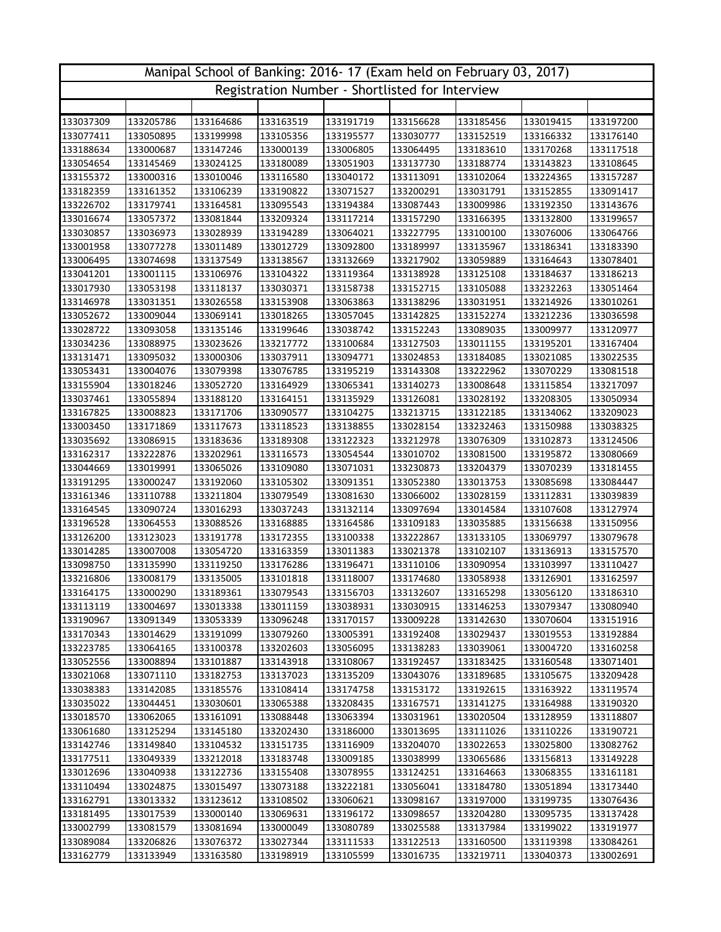| Manipal School of Banking: 2016-17 (Exam held on February 03, 2017) |                                                 |           |           |           |           |           |           |           |  |  |  |
|---------------------------------------------------------------------|-------------------------------------------------|-----------|-----------|-----------|-----------|-----------|-----------|-----------|--|--|--|
|                                                                     | Registration Number - Shortlisted for Interview |           |           |           |           |           |           |           |  |  |  |
|                                                                     |                                                 |           |           |           |           |           |           |           |  |  |  |
| 133037309                                                           | 133205786                                       | 133164686 | 133163519 | 133191719 | 133156628 | 133185456 | 133019415 | 133197200 |  |  |  |
| 133077411                                                           | 133050895                                       | 133199998 | 133105356 | 133195577 | 133030777 | 133152519 | 133166332 | 133176140 |  |  |  |
| 133188634                                                           | 133000687                                       | 133147246 | 133000139 | 133006805 | 133064495 | 133183610 | 133170268 | 133117518 |  |  |  |
| 133054654                                                           | 133145469                                       | 133024125 | 133180089 | 133051903 | 133137730 | 133188774 | 133143823 | 133108645 |  |  |  |
| 133155372                                                           | 133000316                                       | 133010046 | 133116580 | 133040172 | 133113091 | 133102064 | 133224365 | 133157287 |  |  |  |
| 133182359                                                           | 133161352                                       | 133106239 | 133190822 | 133071527 | 133200291 | 133031791 | 133152855 | 133091417 |  |  |  |
| 133226702                                                           | 133179741                                       | 133164581 | 133095543 | 133194384 | 133087443 | 133009986 | 133192350 | 133143676 |  |  |  |
| 133016674                                                           | 133057372                                       | 133081844 | 133209324 | 133117214 | 133157290 | 133166395 | 133132800 | 133199657 |  |  |  |
| 133030857                                                           | 133036973                                       | 133028939 | 133194289 | 133064021 | 133227795 | 133100100 | 133076006 | 133064766 |  |  |  |
| 133001958                                                           | 133077278                                       | 133011489 | 133012729 | 133092800 | 133189997 | 133135967 | 133186341 | 133183390 |  |  |  |
| 133006495                                                           | 133074698                                       | 133137549 | 133138567 | 133132669 | 133217902 | 133059889 | 133164643 | 133078401 |  |  |  |
| 133041201                                                           | 133001115                                       | 133106976 | 133104322 | 133119364 | 133138928 | 133125108 | 133184637 | 133186213 |  |  |  |
| 133017930                                                           | 133053198                                       | 133118137 | 133030371 | 133158738 | 133152715 | 133105088 | 133232263 | 133051464 |  |  |  |
| 133146978                                                           | 133031351                                       | 133026558 | 133153908 | 133063863 | 133138296 | 133031951 | 133214926 | 133010261 |  |  |  |
| 133052672                                                           | 133009044                                       | 133069141 | 133018265 | 133057045 | 133142825 | 133152274 | 133212236 | 133036598 |  |  |  |
| 133028722                                                           | 133093058                                       | 133135146 | 133199646 | 133038742 | 133152243 | 133089035 | 133009977 | 133120977 |  |  |  |
| 133034236                                                           | 133088975                                       | 133023626 | 133217772 | 133100684 | 133127503 | 133011155 | 133195201 | 133167404 |  |  |  |
| 133131471                                                           | 133095032                                       | 133000306 | 133037911 | 133094771 | 133024853 | 133184085 | 133021085 | 133022535 |  |  |  |
| 133053431                                                           | 133004076                                       | 133079398 | 133076785 | 133195219 | 133143308 | 133222962 | 133070229 | 133081518 |  |  |  |
| 133155904                                                           | 133018246                                       | 133052720 | 133164929 | 133065341 | 133140273 | 133008648 | 133115854 | 133217097 |  |  |  |
| 133037461                                                           | 133055894                                       | 133188120 | 133164151 | 133135929 | 133126081 | 133028192 | 133208305 | 133050934 |  |  |  |
| 133167825                                                           | 133008823                                       | 133171706 | 133090577 | 133104275 | 133213715 | 133122185 | 133134062 | 133209023 |  |  |  |
| 133003450                                                           | 133171869                                       | 133117673 | 133118523 | 133138855 | 133028154 | 133232463 | 133150988 | 133038325 |  |  |  |
| 133035692                                                           | 133086915                                       | 133183636 | 133189308 | 133122323 | 133212978 | 133076309 | 133102873 | 133124506 |  |  |  |
| 133162317                                                           | 133222876                                       | 133202961 | 133116573 | 133054544 | 133010702 | 133081500 | 133195872 | 133080669 |  |  |  |
| 133044669                                                           | 133019991                                       | 133065026 | 133109080 | 133071031 | 133230873 | 133204379 | 133070239 | 133181455 |  |  |  |
| 133191295                                                           | 133000247                                       | 133192060 | 133105302 | 133091351 | 133052380 | 133013753 | 133085698 | 133084447 |  |  |  |
| 133161346                                                           | 133110788                                       | 133211804 | 133079549 | 133081630 | 133066002 | 133028159 | 133112831 | 133039839 |  |  |  |
| 133164545                                                           | 133090724                                       | 133016293 | 133037243 | 133132114 | 133097694 | 133014584 | 133107608 | 133127974 |  |  |  |
| 133196528                                                           | 133064553                                       | 133088526 | 133168885 | 133164586 | 133109183 | 133035885 | 133156638 | 133150956 |  |  |  |
| 133126200                                                           | 133123023                                       | 133191778 | 133172355 | 133100338 | 133222867 | 133133105 | 133069797 | 133079678 |  |  |  |
| 133014285                                                           | 133007008                                       | 133054720 | 133163359 | 133011383 | 133021378 | 133102107 | 133136913 | 133157570 |  |  |  |
| 133098750                                                           | 133135990                                       | 133119250 | 133176286 | 133196471 | 133110106 | 133090954 | 133103997 | 133110427 |  |  |  |
| 133216806                                                           | 133008179                                       | 133135005 | 133101818 | 133118007 | 133174680 | 133058938 | 133126901 | 133162597 |  |  |  |
| 133164175                                                           | 133000290                                       | 133189361 | 133079543 | 133156703 | 133132607 | 133165298 | 133056120 | 133186310 |  |  |  |
| 133113119                                                           | 133004697                                       | 133013338 | 133011159 | 133038931 | 133030915 | 133146253 | 133079347 | 133080940 |  |  |  |
| 133190967                                                           | 133091349                                       | 133053339 | 133096248 | 133170157 | 133009228 | 133142630 | 133070604 | 133151916 |  |  |  |
| 133170343                                                           | 133014629                                       | 133191099 | 133079260 | 133005391 | 133192408 | 133029437 | 133019553 | 133192884 |  |  |  |
| 133223785                                                           | 133064165                                       | 133100378 | 133202603 | 133056095 | 133138283 | 133039061 | 133004720 | 133160258 |  |  |  |
| 133052556                                                           | 133008894                                       | 133101887 | 133143918 | 133108067 | 133192457 | 133183425 | 133160548 | 133071401 |  |  |  |
| 133021068                                                           | 133071110                                       | 133182753 | 133137023 | 133135209 | 133043076 | 133189685 | 133105675 | 133209428 |  |  |  |
| 133038383                                                           | 133142085                                       | 133185576 | 133108414 | 133174758 | 133153172 | 133192615 | 133163922 | 133119574 |  |  |  |
| 133035022                                                           | 133044451                                       | 133030601 | 133065388 | 133208435 | 133167571 | 133141275 | 133164988 | 133190320 |  |  |  |
| 133018570                                                           | 133062065                                       | 133161091 | 133088448 | 133063394 | 133031961 | 133020504 | 133128959 | 133118807 |  |  |  |
| 133061680                                                           | 133125294                                       | 133145180 | 133202430 | 133186000 | 133013695 | 133111026 | 133110226 | 133190721 |  |  |  |
| 133142746                                                           | 133149840                                       | 133104532 | 133151735 | 133116909 | 133204070 | 133022653 | 133025800 | 133082762 |  |  |  |
| 133177511                                                           | 133049339                                       | 133212018 | 133183748 | 133009185 | 133038999 | 133065686 | 133156813 | 133149228 |  |  |  |
| 133012696                                                           | 133040938                                       | 133122736 | 133155408 | 133078955 | 133124251 | 133164663 | 133068355 | 133161181 |  |  |  |
| 133110494                                                           | 133024875                                       | 133015497 | 133073188 | 133222181 | 133056041 | 133184780 | 133051894 | 133173440 |  |  |  |
| 133162791                                                           | 133013332                                       | 133123612 | 133108502 | 133060621 | 133098167 | 133197000 | 133199735 | 133076436 |  |  |  |
| 133181495                                                           | 133017539                                       | 133000140 | 133069631 | 133196172 | 133098657 | 133204280 | 133095735 | 133137428 |  |  |  |
| 133002799                                                           | 133081579                                       | 133081694 | 133000049 | 133080789 | 133025588 | 133137984 | 133199022 | 133191977 |  |  |  |
| 133089084                                                           | 133206826                                       | 133076372 | 133027344 | 133111533 | 133122513 | 133160500 | 133119398 | 133084261 |  |  |  |
| 133162779                                                           | 133133949                                       | 133163580 | 133198919 | 133105599 | 133016735 | 133219711 | 133040373 | 133002691 |  |  |  |
|                                                                     |                                                 |           |           |           |           |           |           |           |  |  |  |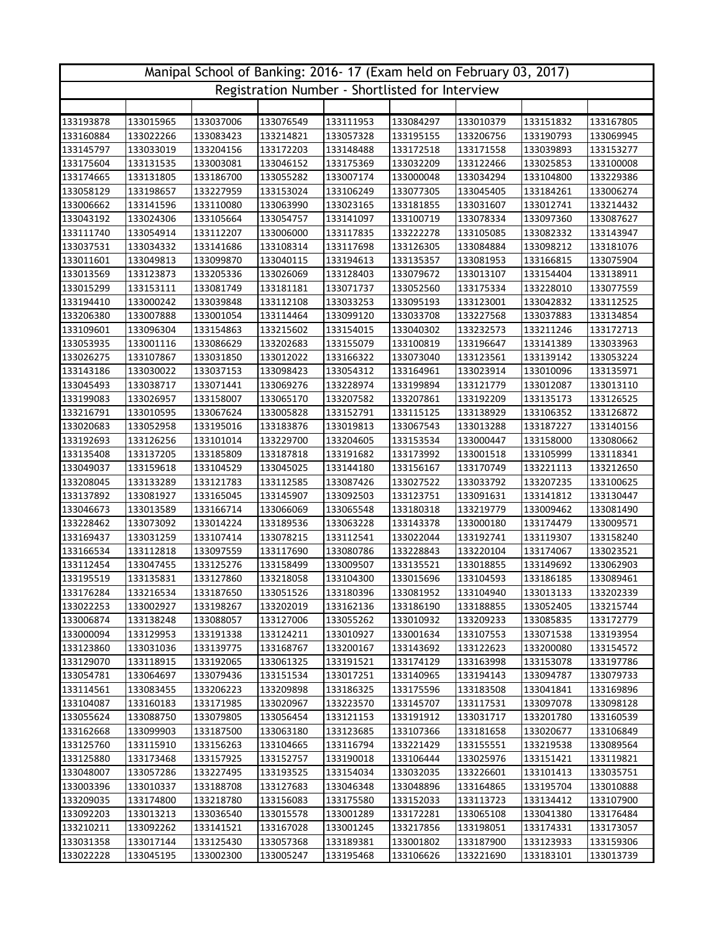| Manipal School of Banking: 2016-17 (Exam held on February 03, 2017) |           |           |           |                                                 |           |           |           |           |  |  |
|---------------------------------------------------------------------|-----------|-----------|-----------|-------------------------------------------------|-----------|-----------|-----------|-----------|--|--|
|                                                                     |           |           |           | Registration Number - Shortlisted for Interview |           |           |           |           |  |  |
|                                                                     |           |           |           |                                                 |           |           |           |           |  |  |
| 133193878                                                           | 133015965 | 133037006 | 133076549 | 133111953                                       | 133084297 | 133010379 | 133151832 | 133167805 |  |  |
| 133160884                                                           | 133022266 | 133083423 | 133214821 | 133057328                                       | 133195155 | 133206756 | 133190793 | 133069945 |  |  |
| 133145797                                                           | 133033019 | 133204156 | 133172203 | 133148488                                       | 133172518 | 133171558 | 133039893 | 133153277 |  |  |
| 133175604                                                           | 133131535 | 133003081 | 133046152 | 133175369                                       | 133032209 | 133122466 | 133025853 | 133100008 |  |  |
| 133174665                                                           | 133131805 | 133186700 | 133055282 | 133007174                                       | 133000048 | 133034294 | 133104800 | 133229386 |  |  |
| 133058129                                                           | 133198657 | 133227959 | 133153024 | 133106249                                       | 133077305 | 133045405 | 133184261 | 133006274 |  |  |
| 133006662                                                           | 133141596 | 133110080 | 133063990 | 133023165                                       | 133181855 | 133031607 | 133012741 | 133214432 |  |  |
| 133043192                                                           | 133024306 | 133105664 | 133054757 | 133141097                                       | 133100719 | 133078334 | 133097360 | 133087627 |  |  |
| 133111740                                                           | 133054914 | 133112207 | 133006000 | 133117835                                       | 133222278 | 133105085 | 133082332 | 133143947 |  |  |
| 133037531                                                           | 133034332 | 133141686 | 133108314 | 133117698                                       | 133126305 | 133084884 | 133098212 | 133181076 |  |  |
| 133011601                                                           | 133049813 | 133099870 | 133040115 | 133194613                                       | 133135357 | 133081953 | 133166815 | 133075904 |  |  |
| 133013569                                                           | 133123873 | 133205336 | 133026069 | 133128403                                       | 133079672 | 133013107 | 133154404 | 133138911 |  |  |
| 133015299                                                           | 133153111 | 133081749 | 133181181 | 133071737                                       | 133052560 | 133175334 | 133228010 | 133077559 |  |  |
| 133194410                                                           | 133000242 | 133039848 | 133112108 | 133033253                                       | 133095193 | 133123001 | 133042832 | 133112525 |  |  |
| 133206380                                                           | 133007888 | 133001054 | 133114464 | 133099120                                       | 133033708 | 133227568 | 133037883 | 133134854 |  |  |
| 133109601                                                           | 133096304 | 133154863 | 133215602 | 133154015                                       | 133040302 | 133232573 | 133211246 | 133172713 |  |  |
| 133053935                                                           | 133001116 | 133086629 | 133202683 | 133155079                                       | 133100819 | 133196647 | 133141389 | 133033963 |  |  |
| 133026275                                                           | 133107867 | 133031850 | 133012022 | 133166322                                       | 133073040 | 133123561 | 133139142 | 133053224 |  |  |
| 133143186                                                           | 133030022 | 133037153 | 133098423 | 133054312                                       | 133164961 | 133023914 | 133010096 | 133135971 |  |  |
| 133045493                                                           | 133038717 | 133071441 | 133069276 | 133228974                                       | 133199894 | 133121779 | 133012087 | 133013110 |  |  |
| 133199083                                                           | 133026957 | 133158007 | 133065170 | 133207582                                       | 133207861 | 133192209 | 133135173 | 133126525 |  |  |
| 133216791                                                           | 133010595 | 133067624 | 133005828 | 133152791                                       | 133115125 | 133138929 | 133106352 | 133126872 |  |  |
| 133020683                                                           | 133052958 | 133195016 | 133183876 | 133019813                                       | 133067543 | 133013288 | 133187227 | 133140156 |  |  |
| 133192693                                                           | 133126256 | 133101014 | 133229700 | 133204605                                       | 133153534 | 133000447 | 133158000 | 133080662 |  |  |
| 133135408                                                           | 133137205 | 133185809 | 133187818 | 133191682                                       | 133173992 | 133001518 | 133105999 | 133118341 |  |  |
| 133049037                                                           | 133159618 | 133104529 | 133045025 | 133144180                                       | 133156167 | 133170749 | 133221113 | 133212650 |  |  |
| 133208045                                                           | 133133289 | 133121783 | 133112585 | 133087426                                       | 133027522 | 133033792 | 133207235 | 133100625 |  |  |
| 133137892                                                           | 133081927 | 133165045 | 133145907 | 133092503                                       | 133123751 | 133091631 | 133141812 | 133130447 |  |  |
| 133046673                                                           | 133013589 | 133166714 | 133066069 | 133065548                                       | 133180318 | 133219779 | 133009462 | 133081490 |  |  |
| 133228462                                                           | 133073092 | 133014224 | 133189536 | 133063228                                       | 133143378 | 133000180 | 133174479 | 133009571 |  |  |
| 133169437                                                           | 133031259 | 133107414 | 133078215 | 133112541                                       | 133022044 | 133192741 | 133119307 | 133158240 |  |  |
| 133166534                                                           | 133112818 | 133097559 | 133117690 | 133080786                                       | 133228843 | 133220104 | 133174067 | 133023521 |  |  |
| 133112454                                                           | 133047455 | 133125276 | 133158499 | 133009507                                       | 133135521 | 133018855 | 133149692 | 133062903 |  |  |
| 133195519                                                           | 133135831 | 133127860 | 133218058 | 133104300                                       | 133015696 | 133104593 | 133186185 | 133089461 |  |  |
| 133176284                                                           | 133216534 | 133187650 | 133051526 | 133180396                                       | 133081952 | 133104940 | 133013133 | 133202339 |  |  |
| 133022253                                                           | 133002927 | 133198267 | 133202019 | 133162136                                       | 133186190 | 133188855 | 133052405 | 133215744 |  |  |
| 133006874                                                           | 133138248 | 133088057 | 133127006 | 133055262                                       | 133010932 | 133209233 | 133085835 | 133172779 |  |  |
| 133000094                                                           | 133129953 | 133191338 | 133124211 | 133010927                                       | 133001634 | 133107553 | 133071538 | 133193954 |  |  |
| 133123860                                                           | 133031036 | 133139775 | 133168767 | 133200167                                       | 133143692 | 133122623 | 133200080 | 133154572 |  |  |
| 133129070                                                           | 133118915 | 133192065 | 133061325 | 133191521                                       | 133174129 | 133163998 | 133153078 | 133197786 |  |  |
| 133054781                                                           | 133064697 | 133079436 | 133151534 | 133017251                                       | 133140965 | 133194143 | 133094787 | 133079733 |  |  |
| 133114561                                                           | 133083455 | 133206223 | 133209898 | 133186325                                       | 133175596 | 133183508 | 133041841 | 133169896 |  |  |
| 133104087                                                           | 133160183 | 133171985 | 133020967 | 133223570                                       | 133145707 | 133117531 | 133097078 | 133098128 |  |  |
| 133055624                                                           | 133088750 | 133079805 | 133056454 | 133121153                                       | 133191912 | 133031717 | 133201780 | 133160539 |  |  |
| 133162668                                                           | 133099903 | 133187500 | 133063180 | 133123685                                       | 133107366 | 133181658 | 133020677 | 133106849 |  |  |
| 133125760                                                           | 133115910 | 133156263 | 133104665 | 133116794                                       | 133221429 | 133155551 | 133219538 | 133089564 |  |  |
| 133125880                                                           | 133173468 | 133157925 | 133152757 | 133190018                                       | 133106444 | 133025976 | 133151421 | 133119821 |  |  |
| 133048007                                                           | 133057286 | 133227495 | 133193525 | 133154034                                       | 133032035 | 133226601 | 133101413 | 133035751 |  |  |
| 133003396                                                           | 133010337 | 133188708 | 133127683 | 133046348                                       | 133048896 | 133164865 | 133195704 | 133010888 |  |  |
| 133209035                                                           | 133174800 | 133218780 | 133156083 | 133175580                                       | 133152033 | 133113723 | 133134412 | 133107900 |  |  |
| 133092203                                                           | 133013213 | 133036540 | 133015578 | 133001289                                       | 133172281 | 133065108 | 133041380 | 133176484 |  |  |
| 133210211                                                           | 133092262 | 133141521 | 133167028 | 133001245                                       | 133217856 | 133198051 | 133174331 | 133173057 |  |  |
| 133031358                                                           | 133017144 | 133125430 | 133057368 | 133189381                                       | 133001802 | 133187900 | 133123933 | 133159306 |  |  |
| 133022228                                                           | 133045195 | 133002300 | 133005247 | 133195468                                       | 133106626 | 133221690 | 133183101 | 133013739 |  |  |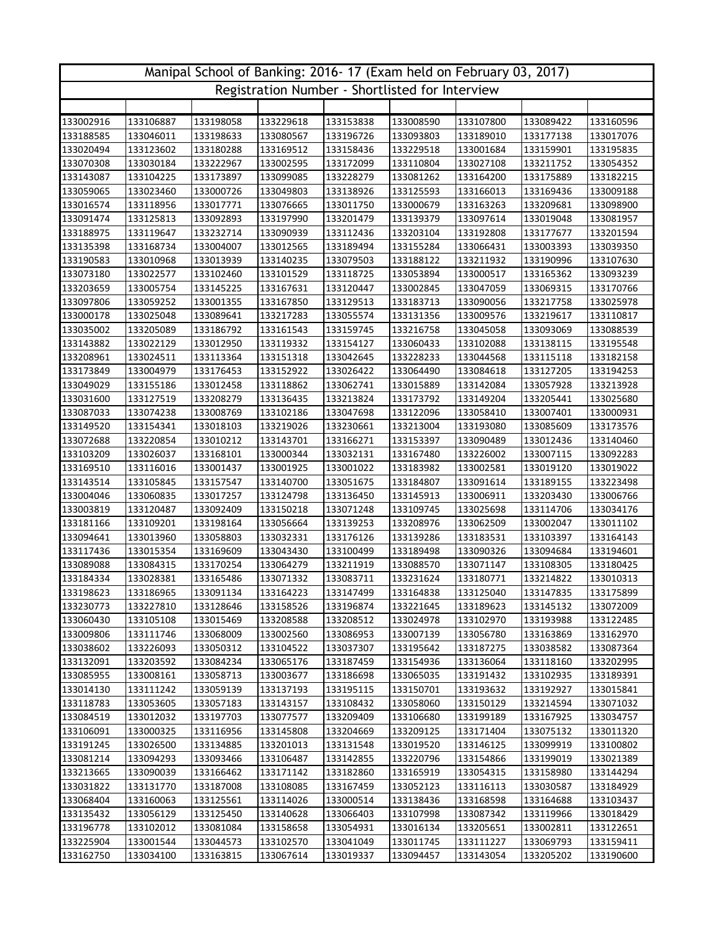| Registration Number - Shortlisted for Interview<br>133002916<br>133106887<br>133198058<br>133153838<br>133008590<br>133107800<br>133089422<br>133160596<br>133229618<br>133189010<br>133188585<br>133046011<br>133198633<br>133080567<br>133196726<br>133093803<br>133177138<br>133017076<br>133020494<br>133123602<br>133180288<br>133169512<br>133158436<br>133229518<br>133001684<br>133159901<br>133195835<br>133070308<br>133030184<br>133222967<br>133002595<br>133172099<br>133110804<br>133027108<br>133211752<br>133054352<br>133143087<br>133104225<br>133173897<br>133099085<br>133228279<br>133081262<br>133164200<br>133175889<br>133182215<br>133059065<br>133023460<br>133000726<br>133049803<br>133138926<br>133125593<br>133166013<br>133169436<br>133009188<br>133016574<br>133118956<br>133017771<br>133076665<br>133011750<br>133000679<br>133163263<br>133209681<br>133098900<br>133139379<br>133091474<br>133125813<br>133092893<br>133197990<br>133201479<br>133097614<br>133019048<br>133081957<br>133188975<br>133119647<br>133232714<br>133090939<br>133112436<br>133203104<br>133192808<br>133177677<br>133201594<br>133135398<br>133168734<br>133012565<br>133155284<br>133066431<br>133004007<br>133189494<br>133003393<br>133039350<br>133190583<br>133013939<br>133211932<br>133010968<br>133140235<br>133079503<br>133188122<br>133190996<br>133107630<br>133073180<br>133022577<br>133102460<br>133101529<br>133118725<br>133053894<br>133000517<br>133165362<br>133093239<br>133145225<br>133120447<br>133002845<br>133047059<br>133203659<br>133005754<br>133167631<br>133069315<br>133170766<br>133097806<br>133059252<br>133001355<br>133167850<br>133129513<br>133183713<br>133090056<br>133217758<br>133025978<br>133000178<br>133025048<br>133089641<br>133217283<br>133055574<br>133131356<br>133009576<br>133219617<br>133110817<br>133035002<br>133205089<br>133159745<br>133216758<br>133045058<br>133093069<br>133088539<br>133186792<br>133161543<br>133102088<br>133143882<br>133022129<br>133012950<br>133119332<br>133154127<br>133060433<br>133138115<br>133195548<br>133208961<br>133024511<br>133113364<br>133151318<br>133042645<br>133228233<br>133044568<br>133115118<br>133182158<br>133173849<br>133004979<br>133176453<br>133152922<br>133026422<br>133064490<br>133084618<br>133127205<br>133194253<br>133015889<br>133049029<br>133155186<br>133012458<br>133118862<br>133062741<br>133142084<br>133057928<br>133213928<br>133031600<br>133127519<br>133208279<br>133136435<br>133213824<br>133173792<br>133149204<br>133205441<br>133025680<br>133087033<br>133074238<br>133008769<br>133102186<br>133047698<br>133122096<br>133058410<br>133007401<br>133000931<br>133149520<br>133154341<br>133018103<br>133219026<br>133230661<br>133213004<br>133193080<br>133085609<br>133173576<br>133090489<br>133072688<br>133220854<br>133010212<br>133143701<br>133166271<br>133153397<br>133012436<br>133140460<br>133103209<br>133168101<br>133000344<br>133032131<br>133167480<br>133226002<br>133007115<br>133092283<br>133026037<br>133169510<br>133116016<br>133001437<br>133001925<br>133001022<br>133183982<br>133002581<br>133019120<br>133019022<br>133091614<br>133143514<br>133105845<br>133157547<br>133140700<br>133051675<br>133184807<br>133189155<br>133223498<br>133004046<br>133060835<br>133017257<br>133124798<br>133136450<br>133145913<br>133006911<br>133203430<br>133006766<br>133003819<br>133120487<br>133092409<br>133150218<br>133071248<br>133109745<br>133025698<br>133114706<br>133034176<br>133181166<br>133198164<br>133056664<br>133139253<br>133208976<br>133062509<br>133002047<br>133109201<br>133011102<br>133094641<br>133013960<br>133058803<br>133032331<br>133176126<br>133139286<br>133183531<br>133103397<br>133164143<br>133117436<br>133015354<br>133169609<br>133043430<br>133100499<br>133189498<br>133090326<br>133094684<br>133194601<br>133089088<br>133084315<br>133170254<br>133064279<br>133211919<br>133088570<br>133071147<br>133108305<br>133180425<br>133184334<br>133165486<br>133083711<br>133180771<br>133214822<br>133028381<br>133071332<br>133231624<br>133010313<br>133091134<br>133147499<br>133164838<br>133125040<br>133147835<br>133175899<br>133186965<br>133164223<br>133198623<br>133230773<br>133227810<br>133128646<br>133158526<br>133196874<br>133221645<br>133189623<br>133145132<br>133072009<br>133060430<br>133105108<br>133015469<br>133208588<br>133208512<br>133024978<br>133102970<br>133193988<br>133122485<br>133163869<br>133009806<br>133111746<br>133068009<br>133002560<br>133086953<br>133007139<br>133056780<br>133162970<br>133038602<br>133226093<br>133050312<br>133104522<br>133037307<br>133195642<br>133187275<br>133038582<br>133087364<br>133132091<br>133203592<br>133084234<br>133065176<br>133187459<br>133154936<br>133136064<br>133118160<br>133202995<br>133102935<br>133085955<br>133008161<br>133058713<br>133003677<br>133186698<br>133065035<br>133191432<br>133189391<br>133014130<br>133111242<br>133059139<br>133137193<br>133195115<br>133150701<br>133193632<br>133192927<br>133015841<br>133214594<br>133118783<br>133053605<br>133057183<br>133143157<br>133108432<br>133058060<br>133150129<br>133071032<br>133084519<br>133012032<br>133197703<br>133077577<br>133209409<br>133106680<br>133199189<br>133167925<br>133034757<br>133106091<br>133000325<br>133116956<br>133145808<br>133204669<br>133209125<br>133171404<br>133075132<br>133011320<br>133191245<br>133201013<br>133146125<br>133099919<br>133026500<br>133134885<br>133131548<br>133019520<br>133100802<br>133081214<br>133094293<br>133093466<br>133142855<br>133154866<br>133199019<br>133021389<br>133106487<br>133220796<br>133213665<br>133166462<br>133171142<br>133182860<br>133165919<br>133054315<br>133158980<br>133144294<br>133090039<br>133031822<br>133131770<br>133187008<br>133108085<br>133167459<br>133052123<br>133116113<br>133030587<br>133184929<br>133125561<br>133068404<br>133160063<br>133114026<br>133000514<br>133138436<br>133168598<br>133164688<br>133103437<br>133135432<br>133056129<br>133125450<br>133087342<br>133119966<br>133140628<br>133066403<br>133107998<br>133018429<br>133196778<br>133102012<br>133081084<br>133158658<br>133054931<br>133016134<br>133205651<br>133002811<br>133122651<br>133225904<br>133001544<br>133044573<br>133102570<br>133041049<br>133011745<br>133111227<br>133069793<br>133159411 | Manipal School of Banking: 2016-17 (Exam held on February 03, 2017) |           |           |           |           |           |           |           |           |  |  |
|----------------------------------------------------------------------------------------------------------------------------------------------------------------------------------------------------------------------------------------------------------------------------------------------------------------------------------------------------------------------------------------------------------------------------------------------------------------------------------------------------------------------------------------------------------------------------------------------------------------------------------------------------------------------------------------------------------------------------------------------------------------------------------------------------------------------------------------------------------------------------------------------------------------------------------------------------------------------------------------------------------------------------------------------------------------------------------------------------------------------------------------------------------------------------------------------------------------------------------------------------------------------------------------------------------------------------------------------------------------------------------------------------------------------------------------------------------------------------------------------------------------------------------------------------------------------------------------------------------------------------------------------------------------------------------------------------------------------------------------------------------------------------------------------------------------------------------------------------------------------------------------------------------------------------------------------------------------------------------------------------------------------------------------------------------------------------------------------------------------------------------------------------------------------------------------------------------------------------------------------------------------------------------------------------------------------------------------------------------------------------------------------------------------------------------------------------------------------------------------------------------------------------------------------------------------------------------------------------------------------------------------------------------------------------------------------------------------------------------------------------------------------------------------------------------------------------------------------------------------------------------------------------------------------------------------------------------------------------------------------------------------------------------------------------------------------------------------------------------------------------------------------------------------------------------------------------------------------------------------------------------------------------------------------------------------------------------------------------------------------------------------------------------------------------------------------------------------------------------------------------------------------------------------------------------------------------------------------------------------------------------------------------------------------------------------------------------------------------------------------------------------------------------------------------------------------------------------------------------------------------------------------------------------------------------------------------------------------------------------------------------------------------------------------------------------------------------------------------------------------------------------------------------------------------------------------------------------------------------------------------------------------------------------------------------------------------------------------------------------------------------------------------------------------------------------------------------------------------------------------------------------------------------------------------------------------------------------------------------------------------------------------------------------------------------------------------------------------------------------------------------------------------------------------------------------------------------------------------------------------------------------------------------------------------------------------------------------------------------------------------------------------------------------------------------------------------------------------------------------------------------------------------------------------------------------------------------------------------------------------------------------------------------------------------------------------------------------------------------------------------------------------------------------------------------------------------------------------------------------------------------------------------------------------------------------------------------------------------------------------------------------------------------------------------------------------------------------------------------------------------------------------------------------------------------------------------------------------------------------------------------------------------------------------------------------------------------------------------------------------------------------------------------------------------------------------------------------------------------------------------------------------------------------------------------------------------------------------------------------------------------------------------------------------------------------------------------------------------------------------------------------------------------------------------------------------------------------------------------------------------------|---------------------------------------------------------------------|-----------|-----------|-----------|-----------|-----------|-----------|-----------|-----------|--|--|
|                                                                                                                                                                                                                                                                                                                                                                                                                                                                                                                                                                                                                                                                                                                                                                                                                                                                                                                                                                                                                                                                                                                                                                                                                                                                                                                                                                                                                                                                                                                                                                                                                                                                                                                                                                                                                                                                                                                                                                                                                                                                                                                                                                                                                                                                                                                                                                                                                                                                                                                                                                                                                                                                                                                                                                                                                                                                                                                                                                                                                                                                                                                                                                                                                                                                                                                                                                                                                                                                                                                                                                                                                                                                                                                                                                                                                                                                                                                                                                                                                                                                                                                                                                                                                                                                                                                                                                                                                                                                                                                                                                                                                                                                                                                                                                                                                                                                                                                                                                                                                                                                                                                                                                                                                                                                                                                                                                                                                                                                                                                                                                                                                                                                                                                                                                                                                                                                                                                                                                                                                                                                                                                                                                                                                                                                                                                                                                                                                                                                                                          |                                                                     |           |           |           |           |           |           |           |           |  |  |
|                                                                                                                                                                                                                                                                                                                                                                                                                                                                                                                                                                                                                                                                                                                                                                                                                                                                                                                                                                                                                                                                                                                                                                                                                                                                                                                                                                                                                                                                                                                                                                                                                                                                                                                                                                                                                                                                                                                                                                                                                                                                                                                                                                                                                                                                                                                                                                                                                                                                                                                                                                                                                                                                                                                                                                                                                                                                                                                                                                                                                                                                                                                                                                                                                                                                                                                                                                                                                                                                                                                                                                                                                                                                                                                                                                                                                                                                                                                                                                                                                                                                                                                                                                                                                                                                                                                                                                                                                                                                                                                                                                                                                                                                                                                                                                                                                                                                                                                                                                                                                                                                                                                                                                                                                                                                                                                                                                                                                                                                                                                                                                                                                                                                                                                                                                                                                                                                                                                                                                                                                                                                                                                                                                                                                                                                                                                                                                                                                                                                                                          |                                                                     |           |           |           |           |           |           |           |           |  |  |
|                                                                                                                                                                                                                                                                                                                                                                                                                                                                                                                                                                                                                                                                                                                                                                                                                                                                                                                                                                                                                                                                                                                                                                                                                                                                                                                                                                                                                                                                                                                                                                                                                                                                                                                                                                                                                                                                                                                                                                                                                                                                                                                                                                                                                                                                                                                                                                                                                                                                                                                                                                                                                                                                                                                                                                                                                                                                                                                                                                                                                                                                                                                                                                                                                                                                                                                                                                                                                                                                                                                                                                                                                                                                                                                                                                                                                                                                                                                                                                                                                                                                                                                                                                                                                                                                                                                                                                                                                                                                                                                                                                                                                                                                                                                                                                                                                                                                                                                                                                                                                                                                                                                                                                                                                                                                                                                                                                                                                                                                                                                                                                                                                                                                                                                                                                                                                                                                                                                                                                                                                                                                                                                                                                                                                                                                                                                                                                                                                                                                                                          |                                                                     |           |           |           |           |           |           |           |           |  |  |
|                                                                                                                                                                                                                                                                                                                                                                                                                                                                                                                                                                                                                                                                                                                                                                                                                                                                                                                                                                                                                                                                                                                                                                                                                                                                                                                                                                                                                                                                                                                                                                                                                                                                                                                                                                                                                                                                                                                                                                                                                                                                                                                                                                                                                                                                                                                                                                                                                                                                                                                                                                                                                                                                                                                                                                                                                                                                                                                                                                                                                                                                                                                                                                                                                                                                                                                                                                                                                                                                                                                                                                                                                                                                                                                                                                                                                                                                                                                                                                                                                                                                                                                                                                                                                                                                                                                                                                                                                                                                                                                                                                                                                                                                                                                                                                                                                                                                                                                                                                                                                                                                                                                                                                                                                                                                                                                                                                                                                                                                                                                                                                                                                                                                                                                                                                                                                                                                                                                                                                                                                                                                                                                                                                                                                                                                                                                                                                                                                                                                                                          |                                                                     |           |           |           |           |           |           |           |           |  |  |
|                                                                                                                                                                                                                                                                                                                                                                                                                                                                                                                                                                                                                                                                                                                                                                                                                                                                                                                                                                                                                                                                                                                                                                                                                                                                                                                                                                                                                                                                                                                                                                                                                                                                                                                                                                                                                                                                                                                                                                                                                                                                                                                                                                                                                                                                                                                                                                                                                                                                                                                                                                                                                                                                                                                                                                                                                                                                                                                                                                                                                                                                                                                                                                                                                                                                                                                                                                                                                                                                                                                                                                                                                                                                                                                                                                                                                                                                                                                                                                                                                                                                                                                                                                                                                                                                                                                                                                                                                                                                                                                                                                                                                                                                                                                                                                                                                                                                                                                                                                                                                                                                                                                                                                                                                                                                                                                                                                                                                                                                                                                                                                                                                                                                                                                                                                                                                                                                                                                                                                                                                                                                                                                                                                                                                                                                                                                                                                                                                                                                                                          |                                                                     |           |           |           |           |           |           |           |           |  |  |
|                                                                                                                                                                                                                                                                                                                                                                                                                                                                                                                                                                                                                                                                                                                                                                                                                                                                                                                                                                                                                                                                                                                                                                                                                                                                                                                                                                                                                                                                                                                                                                                                                                                                                                                                                                                                                                                                                                                                                                                                                                                                                                                                                                                                                                                                                                                                                                                                                                                                                                                                                                                                                                                                                                                                                                                                                                                                                                                                                                                                                                                                                                                                                                                                                                                                                                                                                                                                                                                                                                                                                                                                                                                                                                                                                                                                                                                                                                                                                                                                                                                                                                                                                                                                                                                                                                                                                                                                                                                                                                                                                                                                                                                                                                                                                                                                                                                                                                                                                                                                                                                                                                                                                                                                                                                                                                                                                                                                                                                                                                                                                                                                                                                                                                                                                                                                                                                                                                                                                                                                                                                                                                                                                                                                                                                                                                                                                                                                                                                                                                          |                                                                     |           |           |           |           |           |           |           |           |  |  |
|                                                                                                                                                                                                                                                                                                                                                                                                                                                                                                                                                                                                                                                                                                                                                                                                                                                                                                                                                                                                                                                                                                                                                                                                                                                                                                                                                                                                                                                                                                                                                                                                                                                                                                                                                                                                                                                                                                                                                                                                                                                                                                                                                                                                                                                                                                                                                                                                                                                                                                                                                                                                                                                                                                                                                                                                                                                                                                                                                                                                                                                                                                                                                                                                                                                                                                                                                                                                                                                                                                                                                                                                                                                                                                                                                                                                                                                                                                                                                                                                                                                                                                                                                                                                                                                                                                                                                                                                                                                                                                                                                                                                                                                                                                                                                                                                                                                                                                                                                                                                                                                                                                                                                                                                                                                                                                                                                                                                                                                                                                                                                                                                                                                                                                                                                                                                                                                                                                                                                                                                                                                                                                                                                                                                                                                                                                                                                                                                                                                                                                          |                                                                     |           |           |           |           |           |           |           |           |  |  |
|                                                                                                                                                                                                                                                                                                                                                                                                                                                                                                                                                                                                                                                                                                                                                                                                                                                                                                                                                                                                                                                                                                                                                                                                                                                                                                                                                                                                                                                                                                                                                                                                                                                                                                                                                                                                                                                                                                                                                                                                                                                                                                                                                                                                                                                                                                                                                                                                                                                                                                                                                                                                                                                                                                                                                                                                                                                                                                                                                                                                                                                                                                                                                                                                                                                                                                                                                                                                                                                                                                                                                                                                                                                                                                                                                                                                                                                                                                                                                                                                                                                                                                                                                                                                                                                                                                                                                                                                                                                                                                                                                                                                                                                                                                                                                                                                                                                                                                                                                                                                                                                                                                                                                                                                                                                                                                                                                                                                                                                                                                                                                                                                                                                                                                                                                                                                                                                                                                                                                                                                                                                                                                                                                                                                                                                                                                                                                                                                                                                                                                          |                                                                     |           |           |           |           |           |           |           |           |  |  |
|                                                                                                                                                                                                                                                                                                                                                                                                                                                                                                                                                                                                                                                                                                                                                                                                                                                                                                                                                                                                                                                                                                                                                                                                                                                                                                                                                                                                                                                                                                                                                                                                                                                                                                                                                                                                                                                                                                                                                                                                                                                                                                                                                                                                                                                                                                                                                                                                                                                                                                                                                                                                                                                                                                                                                                                                                                                                                                                                                                                                                                                                                                                                                                                                                                                                                                                                                                                                                                                                                                                                                                                                                                                                                                                                                                                                                                                                                                                                                                                                                                                                                                                                                                                                                                                                                                                                                                                                                                                                                                                                                                                                                                                                                                                                                                                                                                                                                                                                                                                                                                                                                                                                                                                                                                                                                                                                                                                                                                                                                                                                                                                                                                                                                                                                                                                                                                                                                                                                                                                                                                                                                                                                                                                                                                                                                                                                                                                                                                                                                                          |                                                                     |           |           |           |           |           |           |           |           |  |  |
|                                                                                                                                                                                                                                                                                                                                                                                                                                                                                                                                                                                                                                                                                                                                                                                                                                                                                                                                                                                                                                                                                                                                                                                                                                                                                                                                                                                                                                                                                                                                                                                                                                                                                                                                                                                                                                                                                                                                                                                                                                                                                                                                                                                                                                                                                                                                                                                                                                                                                                                                                                                                                                                                                                                                                                                                                                                                                                                                                                                                                                                                                                                                                                                                                                                                                                                                                                                                                                                                                                                                                                                                                                                                                                                                                                                                                                                                                                                                                                                                                                                                                                                                                                                                                                                                                                                                                                                                                                                                                                                                                                                                                                                                                                                                                                                                                                                                                                                                                                                                                                                                                                                                                                                                                                                                                                                                                                                                                                                                                                                                                                                                                                                                                                                                                                                                                                                                                                                                                                                                                                                                                                                                                                                                                                                                                                                                                                                                                                                                                                          |                                                                     |           |           |           |           |           |           |           |           |  |  |
|                                                                                                                                                                                                                                                                                                                                                                                                                                                                                                                                                                                                                                                                                                                                                                                                                                                                                                                                                                                                                                                                                                                                                                                                                                                                                                                                                                                                                                                                                                                                                                                                                                                                                                                                                                                                                                                                                                                                                                                                                                                                                                                                                                                                                                                                                                                                                                                                                                                                                                                                                                                                                                                                                                                                                                                                                                                                                                                                                                                                                                                                                                                                                                                                                                                                                                                                                                                                                                                                                                                                                                                                                                                                                                                                                                                                                                                                                                                                                                                                                                                                                                                                                                                                                                                                                                                                                                                                                                                                                                                                                                                                                                                                                                                                                                                                                                                                                                                                                                                                                                                                                                                                                                                                                                                                                                                                                                                                                                                                                                                                                                                                                                                                                                                                                                                                                                                                                                                                                                                                                                                                                                                                                                                                                                                                                                                                                                                                                                                                                                          |                                                                     |           |           |           |           |           |           |           |           |  |  |
|                                                                                                                                                                                                                                                                                                                                                                                                                                                                                                                                                                                                                                                                                                                                                                                                                                                                                                                                                                                                                                                                                                                                                                                                                                                                                                                                                                                                                                                                                                                                                                                                                                                                                                                                                                                                                                                                                                                                                                                                                                                                                                                                                                                                                                                                                                                                                                                                                                                                                                                                                                                                                                                                                                                                                                                                                                                                                                                                                                                                                                                                                                                                                                                                                                                                                                                                                                                                                                                                                                                                                                                                                                                                                                                                                                                                                                                                                                                                                                                                                                                                                                                                                                                                                                                                                                                                                                                                                                                                                                                                                                                                                                                                                                                                                                                                                                                                                                                                                                                                                                                                                                                                                                                                                                                                                                                                                                                                                                                                                                                                                                                                                                                                                                                                                                                                                                                                                                                                                                                                                                                                                                                                                                                                                                                                                                                                                                                                                                                                                                          |                                                                     |           |           |           |           |           |           |           |           |  |  |
|                                                                                                                                                                                                                                                                                                                                                                                                                                                                                                                                                                                                                                                                                                                                                                                                                                                                                                                                                                                                                                                                                                                                                                                                                                                                                                                                                                                                                                                                                                                                                                                                                                                                                                                                                                                                                                                                                                                                                                                                                                                                                                                                                                                                                                                                                                                                                                                                                                                                                                                                                                                                                                                                                                                                                                                                                                                                                                                                                                                                                                                                                                                                                                                                                                                                                                                                                                                                                                                                                                                                                                                                                                                                                                                                                                                                                                                                                                                                                                                                                                                                                                                                                                                                                                                                                                                                                                                                                                                                                                                                                                                                                                                                                                                                                                                                                                                                                                                                                                                                                                                                                                                                                                                                                                                                                                                                                                                                                                                                                                                                                                                                                                                                                                                                                                                                                                                                                                                                                                                                                                                                                                                                                                                                                                                                                                                                                                                                                                                                                                          |                                                                     |           |           |           |           |           |           |           |           |  |  |
|                                                                                                                                                                                                                                                                                                                                                                                                                                                                                                                                                                                                                                                                                                                                                                                                                                                                                                                                                                                                                                                                                                                                                                                                                                                                                                                                                                                                                                                                                                                                                                                                                                                                                                                                                                                                                                                                                                                                                                                                                                                                                                                                                                                                                                                                                                                                                                                                                                                                                                                                                                                                                                                                                                                                                                                                                                                                                                                                                                                                                                                                                                                                                                                                                                                                                                                                                                                                                                                                                                                                                                                                                                                                                                                                                                                                                                                                                                                                                                                                                                                                                                                                                                                                                                                                                                                                                                                                                                                                                                                                                                                                                                                                                                                                                                                                                                                                                                                                                                                                                                                                                                                                                                                                                                                                                                                                                                                                                                                                                                                                                                                                                                                                                                                                                                                                                                                                                                                                                                                                                                                                                                                                                                                                                                                                                                                                                                                                                                                                                                          |                                                                     |           |           |           |           |           |           |           |           |  |  |
|                                                                                                                                                                                                                                                                                                                                                                                                                                                                                                                                                                                                                                                                                                                                                                                                                                                                                                                                                                                                                                                                                                                                                                                                                                                                                                                                                                                                                                                                                                                                                                                                                                                                                                                                                                                                                                                                                                                                                                                                                                                                                                                                                                                                                                                                                                                                                                                                                                                                                                                                                                                                                                                                                                                                                                                                                                                                                                                                                                                                                                                                                                                                                                                                                                                                                                                                                                                                                                                                                                                                                                                                                                                                                                                                                                                                                                                                                                                                                                                                                                                                                                                                                                                                                                                                                                                                                                                                                                                                                                                                                                                                                                                                                                                                                                                                                                                                                                                                                                                                                                                                                                                                                                                                                                                                                                                                                                                                                                                                                                                                                                                                                                                                                                                                                                                                                                                                                                                                                                                                                                                                                                                                                                                                                                                                                                                                                                                                                                                                                                          |                                                                     |           |           |           |           |           |           |           |           |  |  |
|                                                                                                                                                                                                                                                                                                                                                                                                                                                                                                                                                                                                                                                                                                                                                                                                                                                                                                                                                                                                                                                                                                                                                                                                                                                                                                                                                                                                                                                                                                                                                                                                                                                                                                                                                                                                                                                                                                                                                                                                                                                                                                                                                                                                                                                                                                                                                                                                                                                                                                                                                                                                                                                                                                                                                                                                                                                                                                                                                                                                                                                                                                                                                                                                                                                                                                                                                                                                                                                                                                                                                                                                                                                                                                                                                                                                                                                                                                                                                                                                                                                                                                                                                                                                                                                                                                                                                                                                                                                                                                                                                                                                                                                                                                                                                                                                                                                                                                                                                                                                                                                                                                                                                                                                                                                                                                                                                                                                                                                                                                                                                                                                                                                                                                                                                                                                                                                                                                                                                                                                                                                                                                                                                                                                                                                                                                                                                                                                                                                                                                          |                                                                     |           |           |           |           |           |           |           |           |  |  |
|                                                                                                                                                                                                                                                                                                                                                                                                                                                                                                                                                                                                                                                                                                                                                                                                                                                                                                                                                                                                                                                                                                                                                                                                                                                                                                                                                                                                                                                                                                                                                                                                                                                                                                                                                                                                                                                                                                                                                                                                                                                                                                                                                                                                                                                                                                                                                                                                                                                                                                                                                                                                                                                                                                                                                                                                                                                                                                                                                                                                                                                                                                                                                                                                                                                                                                                                                                                                                                                                                                                                                                                                                                                                                                                                                                                                                                                                                                                                                                                                                                                                                                                                                                                                                                                                                                                                                                                                                                                                                                                                                                                                                                                                                                                                                                                                                                                                                                                                                                                                                                                                                                                                                                                                                                                                                                                                                                                                                                                                                                                                                                                                                                                                                                                                                                                                                                                                                                                                                                                                                                                                                                                                                                                                                                                                                                                                                                                                                                                                                                          |                                                                     |           |           |           |           |           |           |           |           |  |  |
|                                                                                                                                                                                                                                                                                                                                                                                                                                                                                                                                                                                                                                                                                                                                                                                                                                                                                                                                                                                                                                                                                                                                                                                                                                                                                                                                                                                                                                                                                                                                                                                                                                                                                                                                                                                                                                                                                                                                                                                                                                                                                                                                                                                                                                                                                                                                                                                                                                                                                                                                                                                                                                                                                                                                                                                                                                                                                                                                                                                                                                                                                                                                                                                                                                                                                                                                                                                                                                                                                                                                                                                                                                                                                                                                                                                                                                                                                                                                                                                                                                                                                                                                                                                                                                                                                                                                                                                                                                                                                                                                                                                                                                                                                                                                                                                                                                                                                                                                                                                                                                                                                                                                                                                                                                                                                                                                                                                                                                                                                                                                                                                                                                                                                                                                                                                                                                                                                                                                                                                                                                                                                                                                                                                                                                                                                                                                                                                                                                                                                                          |                                                                     |           |           |           |           |           |           |           |           |  |  |
|                                                                                                                                                                                                                                                                                                                                                                                                                                                                                                                                                                                                                                                                                                                                                                                                                                                                                                                                                                                                                                                                                                                                                                                                                                                                                                                                                                                                                                                                                                                                                                                                                                                                                                                                                                                                                                                                                                                                                                                                                                                                                                                                                                                                                                                                                                                                                                                                                                                                                                                                                                                                                                                                                                                                                                                                                                                                                                                                                                                                                                                                                                                                                                                                                                                                                                                                                                                                                                                                                                                                                                                                                                                                                                                                                                                                                                                                                                                                                                                                                                                                                                                                                                                                                                                                                                                                                                                                                                                                                                                                                                                                                                                                                                                                                                                                                                                                                                                                                                                                                                                                                                                                                                                                                                                                                                                                                                                                                                                                                                                                                                                                                                                                                                                                                                                                                                                                                                                                                                                                                                                                                                                                                                                                                                                                                                                                                                                                                                                                                                          |                                                                     |           |           |           |           |           |           |           |           |  |  |
|                                                                                                                                                                                                                                                                                                                                                                                                                                                                                                                                                                                                                                                                                                                                                                                                                                                                                                                                                                                                                                                                                                                                                                                                                                                                                                                                                                                                                                                                                                                                                                                                                                                                                                                                                                                                                                                                                                                                                                                                                                                                                                                                                                                                                                                                                                                                                                                                                                                                                                                                                                                                                                                                                                                                                                                                                                                                                                                                                                                                                                                                                                                                                                                                                                                                                                                                                                                                                                                                                                                                                                                                                                                                                                                                                                                                                                                                                                                                                                                                                                                                                                                                                                                                                                                                                                                                                                                                                                                                                                                                                                                                                                                                                                                                                                                                                                                                                                                                                                                                                                                                                                                                                                                                                                                                                                                                                                                                                                                                                                                                                                                                                                                                                                                                                                                                                                                                                                                                                                                                                                                                                                                                                                                                                                                                                                                                                                                                                                                                                                          |                                                                     |           |           |           |           |           |           |           |           |  |  |
|                                                                                                                                                                                                                                                                                                                                                                                                                                                                                                                                                                                                                                                                                                                                                                                                                                                                                                                                                                                                                                                                                                                                                                                                                                                                                                                                                                                                                                                                                                                                                                                                                                                                                                                                                                                                                                                                                                                                                                                                                                                                                                                                                                                                                                                                                                                                                                                                                                                                                                                                                                                                                                                                                                                                                                                                                                                                                                                                                                                                                                                                                                                                                                                                                                                                                                                                                                                                                                                                                                                                                                                                                                                                                                                                                                                                                                                                                                                                                                                                                                                                                                                                                                                                                                                                                                                                                                                                                                                                                                                                                                                                                                                                                                                                                                                                                                                                                                                                                                                                                                                                                                                                                                                                                                                                                                                                                                                                                                                                                                                                                                                                                                                                                                                                                                                                                                                                                                                                                                                                                                                                                                                                                                                                                                                                                                                                                                                                                                                                                                          |                                                                     |           |           |           |           |           |           |           |           |  |  |
|                                                                                                                                                                                                                                                                                                                                                                                                                                                                                                                                                                                                                                                                                                                                                                                                                                                                                                                                                                                                                                                                                                                                                                                                                                                                                                                                                                                                                                                                                                                                                                                                                                                                                                                                                                                                                                                                                                                                                                                                                                                                                                                                                                                                                                                                                                                                                                                                                                                                                                                                                                                                                                                                                                                                                                                                                                                                                                                                                                                                                                                                                                                                                                                                                                                                                                                                                                                                                                                                                                                                                                                                                                                                                                                                                                                                                                                                                                                                                                                                                                                                                                                                                                                                                                                                                                                                                                                                                                                                                                                                                                                                                                                                                                                                                                                                                                                                                                                                                                                                                                                                                                                                                                                                                                                                                                                                                                                                                                                                                                                                                                                                                                                                                                                                                                                                                                                                                                                                                                                                                                                                                                                                                                                                                                                                                                                                                                                                                                                                                                          |                                                                     |           |           |           |           |           |           |           |           |  |  |
|                                                                                                                                                                                                                                                                                                                                                                                                                                                                                                                                                                                                                                                                                                                                                                                                                                                                                                                                                                                                                                                                                                                                                                                                                                                                                                                                                                                                                                                                                                                                                                                                                                                                                                                                                                                                                                                                                                                                                                                                                                                                                                                                                                                                                                                                                                                                                                                                                                                                                                                                                                                                                                                                                                                                                                                                                                                                                                                                                                                                                                                                                                                                                                                                                                                                                                                                                                                                                                                                                                                                                                                                                                                                                                                                                                                                                                                                                                                                                                                                                                                                                                                                                                                                                                                                                                                                                                                                                                                                                                                                                                                                                                                                                                                                                                                                                                                                                                                                                                                                                                                                                                                                                                                                                                                                                                                                                                                                                                                                                                                                                                                                                                                                                                                                                                                                                                                                                                                                                                                                                                                                                                                                                                                                                                                                                                                                                                                                                                                                                                          |                                                                     |           |           |           |           |           |           |           |           |  |  |
|                                                                                                                                                                                                                                                                                                                                                                                                                                                                                                                                                                                                                                                                                                                                                                                                                                                                                                                                                                                                                                                                                                                                                                                                                                                                                                                                                                                                                                                                                                                                                                                                                                                                                                                                                                                                                                                                                                                                                                                                                                                                                                                                                                                                                                                                                                                                                                                                                                                                                                                                                                                                                                                                                                                                                                                                                                                                                                                                                                                                                                                                                                                                                                                                                                                                                                                                                                                                                                                                                                                                                                                                                                                                                                                                                                                                                                                                                                                                                                                                                                                                                                                                                                                                                                                                                                                                                                                                                                                                                                                                                                                                                                                                                                                                                                                                                                                                                                                                                                                                                                                                                                                                                                                                                                                                                                                                                                                                                                                                                                                                                                                                                                                                                                                                                                                                                                                                                                                                                                                                                                                                                                                                                                                                                                                                                                                                                                                                                                                                                                          |                                                                     |           |           |           |           |           |           |           |           |  |  |
|                                                                                                                                                                                                                                                                                                                                                                                                                                                                                                                                                                                                                                                                                                                                                                                                                                                                                                                                                                                                                                                                                                                                                                                                                                                                                                                                                                                                                                                                                                                                                                                                                                                                                                                                                                                                                                                                                                                                                                                                                                                                                                                                                                                                                                                                                                                                                                                                                                                                                                                                                                                                                                                                                                                                                                                                                                                                                                                                                                                                                                                                                                                                                                                                                                                                                                                                                                                                                                                                                                                                                                                                                                                                                                                                                                                                                                                                                                                                                                                                                                                                                                                                                                                                                                                                                                                                                                                                                                                                                                                                                                                                                                                                                                                                                                                                                                                                                                                                                                                                                                                                                                                                                                                                                                                                                                                                                                                                                                                                                                                                                                                                                                                                                                                                                                                                                                                                                                                                                                                                                                                                                                                                                                                                                                                                                                                                                                                                                                                                                                          |                                                                     |           |           |           |           |           |           |           |           |  |  |
|                                                                                                                                                                                                                                                                                                                                                                                                                                                                                                                                                                                                                                                                                                                                                                                                                                                                                                                                                                                                                                                                                                                                                                                                                                                                                                                                                                                                                                                                                                                                                                                                                                                                                                                                                                                                                                                                                                                                                                                                                                                                                                                                                                                                                                                                                                                                                                                                                                                                                                                                                                                                                                                                                                                                                                                                                                                                                                                                                                                                                                                                                                                                                                                                                                                                                                                                                                                                                                                                                                                                                                                                                                                                                                                                                                                                                                                                                                                                                                                                                                                                                                                                                                                                                                                                                                                                                                                                                                                                                                                                                                                                                                                                                                                                                                                                                                                                                                                                                                                                                                                                                                                                                                                                                                                                                                                                                                                                                                                                                                                                                                                                                                                                                                                                                                                                                                                                                                                                                                                                                                                                                                                                                                                                                                                                                                                                                                                                                                                                                                          |                                                                     |           |           |           |           |           |           |           |           |  |  |
|                                                                                                                                                                                                                                                                                                                                                                                                                                                                                                                                                                                                                                                                                                                                                                                                                                                                                                                                                                                                                                                                                                                                                                                                                                                                                                                                                                                                                                                                                                                                                                                                                                                                                                                                                                                                                                                                                                                                                                                                                                                                                                                                                                                                                                                                                                                                                                                                                                                                                                                                                                                                                                                                                                                                                                                                                                                                                                                                                                                                                                                                                                                                                                                                                                                                                                                                                                                                                                                                                                                                                                                                                                                                                                                                                                                                                                                                                                                                                                                                                                                                                                                                                                                                                                                                                                                                                                                                                                                                                                                                                                                                                                                                                                                                                                                                                                                                                                                                                                                                                                                                                                                                                                                                                                                                                                                                                                                                                                                                                                                                                                                                                                                                                                                                                                                                                                                                                                                                                                                                                                                                                                                                                                                                                                                                                                                                                                                                                                                                                                          |                                                                     |           |           |           |           |           |           |           |           |  |  |
|                                                                                                                                                                                                                                                                                                                                                                                                                                                                                                                                                                                                                                                                                                                                                                                                                                                                                                                                                                                                                                                                                                                                                                                                                                                                                                                                                                                                                                                                                                                                                                                                                                                                                                                                                                                                                                                                                                                                                                                                                                                                                                                                                                                                                                                                                                                                                                                                                                                                                                                                                                                                                                                                                                                                                                                                                                                                                                                                                                                                                                                                                                                                                                                                                                                                                                                                                                                                                                                                                                                                                                                                                                                                                                                                                                                                                                                                                                                                                                                                                                                                                                                                                                                                                                                                                                                                                                                                                                                                                                                                                                                                                                                                                                                                                                                                                                                                                                                                                                                                                                                                                                                                                                                                                                                                                                                                                                                                                                                                                                                                                                                                                                                                                                                                                                                                                                                                                                                                                                                                                                                                                                                                                                                                                                                                                                                                                                                                                                                                                                          |                                                                     |           |           |           |           |           |           |           |           |  |  |
|                                                                                                                                                                                                                                                                                                                                                                                                                                                                                                                                                                                                                                                                                                                                                                                                                                                                                                                                                                                                                                                                                                                                                                                                                                                                                                                                                                                                                                                                                                                                                                                                                                                                                                                                                                                                                                                                                                                                                                                                                                                                                                                                                                                                                                                                                                                                                                                                                                                                                                                                                                                                                                                                                                                                                                                                                                                                                                                                                                                                                                                                                                                                                                                                                                                                                                                                                                                                                                                                                                                                                                                                                                                                                                                                                                                                                                                                                                                                                                                                                                                                                                                                                                                                                                                                                                                                                                                                                                                                                                                                                                                                                                                                                                                                                                                                                                                                                                                                                                                                                                                                                                                                                                                                                                                                                                                                                                                                                                                                                                                                                                                                                                                                                                                                                                                                                                                                                                                                                                                                                                                                                                                                                                                                                                                                                                                                                                                                                                                                                                          |                                                                     |           |           |           |           |           |           |           |           |  |  |
|                                                                                                                                                                                                                                                                                                                                                                                                                                                                                                                                                                                                                                                                                                                                                                                                                                                                                                                                                                                                                                                                                                                                                                                                                                                                                                                                                                                                                                                                                                                                                                                                                                                                                                                                                                                                                                                                                                                                                                                                                                                                                                                                                                                                                                                                                                                                                                                                                                                                                                                                                                                                                                                                                                                                                                                                                                                                                                                                                                                                                                                                                                                                                                                                                                                                                                                                                                                                                                                                                                                                                                                                                                                                                                                                                                                                                                                                                                                                                                                                                                                                                                                                                                                                                                                                                                                                                                                                                                                                                                                                                                                                                                                                                                                                                                                                                                                                                                                                                                                                                                                                                                                                                                                                                                                                                                                                                                                                                                                                                                                                                                                                                                                                                                                                                                                                                                                                                                                                                                                                                                                                                                                                                                                                                                                                                                                                                                                                                                                                                                          |                                                                     |           |           |           |           |           |           |           |           |  |  |
|                                                                                                                                                                                                                                                                                                                                                                                                                                                                                                                                                                                                                                                                                                                                                                                                                                                                                                                                                                                                                                                                                                                                                                                                                                                                                                                                                                                                                                                                                                                                                                                                                                                                                                                                                                                                                                                                                                                                                                                                                                                                                                                                                                                                                                                                                                                                                                                                                                                                                                                                                                                                                                                                                                                                                                                                                                                                                                                                                                                                                                                                                                                                                                                                                                                                                                                                                                                                                                                                                                                                                                                                                                                                                                                                                                                                                                                                                                                                                                                                                                                                                                                                                                                                                                                                                                                                                                                                                                                                                                                                                                                                                                                                                                                                                                                                                                                                                                                                                                                                                                                                                                                                                                                                                                                                                                                                                                                                                                                                                                                                                                                                                                                                                                                                                                                                                                                                                                                                                                                                                                                                                                                                                                                                                                                                                                                                                                                                                                                                                                          |                                                                     |           |           |           |           |           |           |           |           |  |  |
|                                                                                                                                                                                                                                                                                                                                                                                                                                                                                                                                                                                                                                                                                                                                                                                                                                                                                                                                                                                                                                                                                                                                                                                                                                                                                                                                                                                                                                                                                                                                                                                                                                                                                                                                                                                                                                                                                                                                                                                                                                                                                                                                                                                                                                                                                                                                                                                                                                                                                                                                                                                                                                                                                                                                                                                                                                                                                                                                                                                                                                                                                                                                                                                                                                                                                                                                                                                                                                                                                                                                                                                                                                                                                                                                                                                                                                                                                                                                                                                                                                                                                                                                                                                                                                                                                                                                                                                                                                                                                                                                                                                                                                                                                                                                                                                                                                                                                                                                                                                                                                                                                                                                                                                                                                                                                                                                                                                                                                                                                                                                                                                                                                                                                                                                                                                                                                                                                                                                                                                                                                                                                                                                                                                                                                                                                                                                                                                                                                                                                                          |                                                                     |           |           |           |           |           |           |           |           |  |  |
|                                                                                                                                                                                                                                                                                                                                                                                                                                                                                                                                                                                                                                                                                                                                                                                                                                                                                                                                                                                                                                                                                                                                                                                                                                                                                                                                                                                                                                                                                                                                                                                                                                                                                                                                                                                                                                                                                                                                                                                                                                                                                                                                                                                                                                                                                                                                                                                                                                                                                                                                                                                                                                                                                                                                                                                                                                                                                                                                                                                                                                                                                                                                                                                                                                                                                                                                                                                                                                                                                                                                                                                                                                                                                                                                                                                                                                                                                                                                                                                                                                                                                                                                                                                                                                                                                                                                                                                                                                                                                                                                                                                                                                                                                                                                                                                                                                                                                                                                                                                                                                                                                                                                                                                                                                                                                                                                                                                                                                                                                                                                                                                                                                                                                                                                                                                                                                                                                                                                                                                                                                                                                                                                                                                                                                                                                                                                                                                                                                                                                                          |                                                                     |           |           |           |           |           |           |           |           |  |  |
|                                                                                                                                                                                                                                                                                                                                                                                                                                                                                                                                                                                                                                                                                                                                                                                                                                                                                                                                                                                                                                                                                                                                                                                                                                                                                                                                                                                                                                                                                                                                                                                                                                                                                                                                                                                                                                                                                                                                                                                                                                                                                                                                                                                                                                                                                                                                                                                                                                                                                                                                                                                                                                                                                                                                                                                                                                                                                                                                                                                                                                                                                                                                                                                                                                                                                                                                                                                                                                                                                                                                                                                                                                                                                                                                                                                                                                                                                                                                                                                                                                                                                                                                                                                                                                                                                                                                                                                                                                                                                                                                                                                                                                                                                                                                                                                                                                                                                                                                                                                                                                                                                                                                                                                                                                                                                                                                                                                                                                                                                                                                                                                                                                                                                                                                                                                                                                                                                                                                                                                                                                                                                                                                                                                                                                                                                                                                                                                                                                                                                                          |                                                                     |           |           |           |           |           |           |           |           |  |  |
|                                                                                                                                                                                                                                                                                                                                                                                                                                                                                                                                                                                                                                                                                                                                                                                                                                                                                                                                                                                                                                                                                                                                                                                                                                                                                                                                                                                                                                                                                                                                                                                                                                                                                                                                                                                                                                                                                                                                                                                                                                                                                                                                                                                                                                                                                                                                                                                                                                                                                                                                                                                                                                                                                                                                                                                                                                                                                                                                                                                                                                                                                                                                                                                                                                                                                                                                                                                                                                                                                                                                                                                                                                                                                                                                                                                                                                                                                                                                                                                                                                                                                                                                                                                                                                                                                                                                                                                                                                                                                                                                                                                                                                                                                                                                                                                                                                                                                                                                                                                                                                                                                                                                                                                                                                                                                                                                                                                                                                                                                                                                                                                                                                                                                                                                                                                                                                                                                                                                                                                                                                                                                                                                                                                                                                                                                                                                                                                                                                                                                                          |                                                                     |           |           |           |           |           |           |           |           |  |  |
|                                                                                                                                                                                                                                                                                                                                                                                                                                                                                                                                                                                                                                                                                                                                                                                                                                                                                                                                                                                                                                                                                                                                                                                                                                                                                                                                                                                                                                                                                                                                                                                                                                                                                                                                                                                                                                                                                                                                                                                                                                                                                                                                                                                                                                                                                                                                                                                                                                                                                                                                                                                                                                                                                                                                                                                                                                                                                                                                                                                                                                                                                                                                                                                                                                                                                                                                                                                                                                                                                                                                                                                                                                                                                                                                                                                                                                                                                                                                                                                                                                                                                                                                                                                                                                                                                                                                                                                                                                                                                                                                                                                                                                                                                                                                                                                                                                                                                                                                                                                                                                                                                                                                                                                                                                                                                                                                                                                                                                                                                                                                                                                                                                                                                                                                                                                                                                                                                                                                                                                                                                                                                                                                                                                                                                                                                                                                                                                                                                                                                                          |                                                                     |           |           |           |           |           |           |           |           |  |  |
|                                                                                                                                                                                                                                                                                                                                                                                                                                                                                                                                                                                                                                                                                                                                                                                                                                                                                                                                                                                                                                                                                                                                                                                                                                                                                                                                                                                                                                                                                                                                                                                                                                                                                                                                                                                                                                                                                                                                                                                                                                                                                                                                                                                                                                                                                                                                                                                                                                                                                                                                                                                                                                                                                                                                                                                                                                                                                                                                                                                                                                                                                                                                                                                                                                                                                                                                                                                                                                                                                                                                                                                                                                                                                                                                                                                                                                                                                                                                                                                                                                                                                                                                                                                                                                                                                                                                                                                                                                                                                                                                                                                                                                                                                                                                                                                                                                                                                                                                                                                                                                                                                                                                                                                                                                                                                                                                                                                                                                                                                                                                                                                                                                                                                                                                                                                                                                                                                                                                                                                                                                                                                                                                                                                                                                                                                                                                                                                                                                                                                                          |                                                                     |           |           |           |           |           |           |           |           |  |  |
|                                                                                                                                                                                                                                                                                                                                                                                                                                                                                                                                                                                                                                                                                                                                                                                                                                                                                                                                                                                                                                                                                                                                                                                                                                                                                                                                                                                                                                                                                                                                                                                                                                                                                                                                                                                                                                                                                                                                                                                                                                                                                                                                                                                                                                                                                                                                                                                                                                                                                                                                                                                                                                                                                                                                                                                                                                                                                                                                                                                                                                                                                                                                                                                                                                                                                                                                                                                                                                                                                                                                                                                                                                                                                                                                                                                                                                                                                                                                                                                                                                                                                                                                                                                                                                                                                                                                                                                                                                                                                                                                                                                                                                                                                                                                                                                                                                                                                                                                                                                                                                                                                                                                                                                                                                                                                                                                                                                                                                                                                                                                                                                                                                                                                                                                                                                                                                                                                                                                                                                                                                                                                                                                                                                                                                                                                                                                                                                                                                                                                                          |                                                                     |           |           |           |           |           |           |           |           |  |  |
|                                                                                                                                                                                                                                                                                                                                                                                                                                                                                                                                                                                                                                                                                                                                                                                                                                                                                                                                                                                                                                                                                                                                                                                                                                                                                                                                                                                                                                                                                                                                                                                                                                                                                                                                                                                                                                                                                                                                                                                                                                                                                                                                                                                                                                                                                                                                                                                                                                                                                                                                                                                                                                                                                                                                                                                                                                                                                                                                                                                                                                                                                                                                                                                                                                                                                                                                                                                                                                                                                                                                                                                                                                                                                                                                                                                                                                                                                                                                                                                                                                                                                                                                                                                                                                                                                                                                                                                                                                                                                                                                                                                                                                                                                                                                                                                                                                                                                                                                                                                                                                                                                                                                                                                                                                                                                                                                                                                                                                                                                                                                                                                                                                                                                                                                                                                                                                                                                                                                                                                                                                                                                                                                                                                                                                                                                                                                                                                                                                                                                                          |                                                                     |           |           |           |           |           |           |           |           |  |  |
|                                                                                                                                                                                                                                                                                                                                                                                                                                                                                                                                                                                                                                                                                                                                                                                                                                                                                                                                                                                                                                                                                                                                                                                                                                                                                                                                                                                                                                                                                                                                                                                                                                                                                                                                                                                                                                                                                                                                                                                                                                                                                                                                                                                                                                                                                                                                                                                                                                                                                                                                                                                                                                                                                                                                                                                                                                                                                                                                                                                                                                                                                                                                                                                                                                                                                                                                                                                                                                                                                                                                                                                                                                                                                                                                                                                                                                                                                                                                                                                                                                                                                                                                                                                                                                                                                                                                                                                                                                                                                                                                                                                                                                                                                                                                                                                                                                                                                                                                                                                                                                                                                                                                                                                                                                                                                                                                                                                                                                                                                                                                                                                                                                                                                                                                                                                                                                                                                                                                                                                                                                                                                                                                                                                                                                                                                                                                                                                                                                                                                                          |                                                                     |           |           |           |           |           |           |           |           |  |  |
|                                                                                                                                                                                                                                                                                                                                                                                                                                                                                                                                                                                                                                                                                                                                                                                                                                                                                                                                                                                                                                                                                                                                                                                                                                                                                                                                                                                                                                                                                                                                                                                                                                                                                                                                                                                                                                                                                                                                                                                                                                                                                                                                                                                                                                                                                                                                                                                                                                                                                                                                                                                                                                                                                                                                                                                                                                                                                                                                                                                                                                                                                                                                                                                                                                                                                                                                                                                                                                                                                                                                                                                                                                                                                                                                                                                                                                                                                                                                                                                                                                                                                                                                                                                                                                                                                                                                                                                                                                                                                                                                                                                                                                                                                                                                                                                                                                                                                                                                                                                                                                                                                                                                                                                                                                                                                                                                                                                                                                                                                                                                                                                                                                                                                                                                                                                                                                                                                                                                                                                                                                                                                                                                                                                                                                                                                                                                                                                                                                                                                                          |                                                                     |           |           |           |           |           |           |           |           |  |  |
|                                                                                                                                                                                                                                                                                                                                                                                                                                                                                                                                                                                                                                                                                                                                                                                                                                                                                                                                                                                                                                                                                                                                                                                                                                                                                                                                                                                                                                                                                                                                                                                                                                                                                                                                                                                                                                                                                                                                                                                                                                                                                                                                                                                                                                                                                                                                                                                                                                                                                                                                                                                                                                                                                                                                                                                                                                                                                                                                                                                                                                                                                                                                                                                                                                                                                                                                                                                                                                                                                                                                                                                                                                                                                                                                                                                                                                                                                                                                                                                                                                                                                                                                                                                                                                                                                                                                                                                                                                                                                                                                                                                                                                                                                                                                                                                                                                                                                                                                                                                                                                                                                                                                                                                                                                                                                                                                                                                                                                                                                                                                                                                                                                                                                                                                                                                                                                                                                                                                                                                                                                                                                                                                                                                                                                                                                                                                                                                                                                                                                                          |                                                                     |           |           |           |           |           |           |           |           |  |  |
|                                                                                                                                                                                                                                                                                                                                                                                                                                                                                                                                                                                                                                                                                                                                                                                                                                                                                                                                                                                                                                                                                                                                                                                                                                                                                                                                                                                                                                                                                                                                                                                                                                                                                                                                                                                                                                                                                                                                                                                                                                                                                                                                                                                                                                                                                                                                                                                                                                                                                                                                                                                                                                                                                                                                                                                                                                                                                                                                                                                                                                                                                                                                                                                                                                                                                                                                                                                                                                                                                                                                                                                                                                                                                                                                                                                                                                                                                                                                                                                                                                                                                                                                                                                                                                                                                                                                                                                                                                                                                                                                                                                                                                                                                                                                                                                                                                                                                                                                                                                                                                                                                                                                                                                                                                                                                                                                                                                                                                                                                                                                                                                                                                                                                                                                                                                                                                                                                                                                                                                                                                                                                                                                                                                                                                                                                                                                                                                                                                                                                                          |                                                                     |           |           |           |           |           |           |           |           |  |  |
|                                                                                                                                                                                                                                                                                                                                                                                                                                                                                                                                                                                                                                                                                                                                                                                                                                                                                                                                                                                                                                                                                                                                                                                                                                                                                                                                                                                                                                                                                                                                                                                                                                                                                                                                                                                                                                                                                                                                                                                                                                                                                                                                                                                                                                                                                                                                                                                                                                                                                                                                                                                                                                                                                                                                                                                                                                                                                                                                                                                                                                                                                                                                                                                                                                                                                                                                                                                                                                                                                                                                                                                                                                                                                                                                                                                                                                                                                                                                                                                                                                                                                                                                                                                                                                                                                                                                                                                                                                                                                                                                                                                                                                                                                                                                                                                                                                                                                                                                                                                                                                                                                                                                                                                                                                                                                                                                                                                                                                                                                                                                                                                                                                                                                                                                                                                                                                                                                                                                                                                                                                                                                                                                                                                                                                                                                                                                                                                                                                                                                                          |                                                                     |           |           |           |           |           |           |           |           |  |  |
|                                                                                                                                                                                                                                                                                                                                                                                                                                                                                                                                                                                                                                                                                                                                                                                                                                                                                                                                                                                                                                                                                                                                                                                                                                                                                                                                                                                                                                                                                                                                                                                                                                                                                                                                                                                                                                                                                                                                                                                                                                                                                                                                                                                                                                                                                                                                                                                                                                                                                                                                                                                                                                                                                                                                                                                                                                                                                                                                                                                                                                                                                                                                                                                                                                                                                                                                                                                                                                                                                                                                                                                                                                                                                                                                                                                                                                                                                                                                                                                                                                                                                                                                                                                                                                                                                                                                                                                                                                                                                                                                                                                                                                                                                                                                                                                                                                                                                                                                                                                                                                                                                                                                                                                                                                                                                                                                                                                                                                                                                                                                                                                                                                                                                                                                                                                                                                                                                                                                                                                                                                                                                                                                                                                                                                                                                                                                                                                                                                                                                                          |                                                                     |           |           |           |           |           |           |           |           |  |  |
|                                                                                                                                                                                                                                                                                                                                                                                                                                                                                                                                                                                                                                                                                                                                                                                                                                                                                                                                                                                                                                                                                                                                                                                                                                                                                                                                                                                                                                                                                                                                                                                                                                                                                                                                                                                                                                                                                                                                                                                                                                                                                                                                                                                                                                                                                                                                                                                                                                                                                                                                                                                                                                                                                                                                                                                                                                                                                                                                                                                                                                                                                                                                                                                                                                                                                                                                                                                                                                                                                                                                                                                                                                                                                                                                                                                                                                                                                                                                                                                                                                                                                                                                                                                                                                                                                                                                                                                                                                                                                                                                                                                                                                                                                                                                                                                                                                                                                                                                                                                                                                                                                                                                                                                                                                                                                                                                                                                                                                                                                                                                                                                                                                                                                                                                                                                                                                                                                                                                                                                                                                                                                                                                                                                                                                                                                                                                                                                                                                                                                                          |                                                                     |           |           |           |           |           |           |           |           |  |  |
|                                                                                                                                                                                                                                                                                                                                                                                                                                                                                                                                                                                                                                                                                                                                                                                                                                                                                                                                                                                                                                                                                                                                                                                                                                                                                                                                                                                                                                                                                                                                                                                                                                                                                                                                                                                                                                                                                                                                                                                                                                                                                                                                                                                                                                                                                                                                                                                                                                                                                                                                                                                                                                                                                                                                                                                                                                                                                                                                                                                                                                                                                                                                                                                                                                                                                                                                                                                                                                                                                                                                                                                                                                                                                                                                                                                                                                                                                                                                                                                                                                                                                                                                                                                                                                                                                                                                                                                                                                                                                                                                                                                                                                                                                                                                                                                                                                                                                                                                                                                                                                                                                                                                                                                                                                                                                                                                                                                                                                                                                                                                                                                                                                                                                                                                                                                                                                                                                                                                                                                                                                                                                                                                                                                                                                                                                                                                                                                                                                                                                                          |                                                                     |           |           |           |           |           |           |           |           |  |  |
|                                                                                                                                                                                                                                                                                                                                                                                                                                                                                                                                                                                                                                                                                                                                                                                                                                                                                                                                                                                                                                                                                                                                                                                                                                                                                                                                                                                                                                                                                                                                                                                                                                                                                                                                                                                                                                                                                                                                                                                                                                                                                                                                                                                                                                                                                                                                                                                                                                                                                                                                                                                                                                                                                                                                                                                                                                                                                                                                                                                                                                                                                                                                                                                                                                                                                                                                                                                                                                                                                                                                                                                                                                                                                                                                                                                                                                                                                                                                                                                                                                                                                                                                                                                                                                                                                                                                                                                                                                                                                                                                                                                                                                                                                                                                                                                                                                                                                                                                                                                                                                                                                                                                                                                                                                                                                                                                                                                                                                                                                                                                                                                                                                                                                                                                                                                                                                                                                                                                                                                                                                                                                                                                                                                                                                                                                                                                                                                                                                                                                                          |                                                                     |           |           |           |           |           |           |           |           |  |  |
|                                                                                                                                                                                                                                                                                                                                                                                                                                                                                                                                                                                                                                                                                                                                                                                                                                                                                                                                                                                                                                                                                                                                                                                                                                                                                                                                                                                                                                                                                                                                                                                                                                                                                                                                                                                                                                                                                                                                                                                                                                                                                                                                                                                                                                                                                                                                                                                                                                                                                                                                                                                                                                                                                                                                                                                                                                                                                                                                                                                                                                                                                                                                                                                                                                                                                                                                                                                                                                                                                                                                                                                                                                                                                                                                                                                                                                                                                                                                                                                                                                                                                                                                                                                                                                                                                                                                                                                                                                                                                                                                                                                                                                                                                                                                                                                                                                                                                                                                                                                                                                                                                                                                                                                                                                                                                                                                                                                                                                                                                                                                                                                                                                                                                                                                                                                                                                                                                                                                                                                                                                                                                                                                                                                                                                                                                                                                                                                                                                                                                                          |                                                                     |           |           |           |           |           |           |           |           |  |  |
|                                                                                                                                                                                                                                                                                                                                                                                                                                                                                                                                                                                                                                                                                                                                                                                                                                                                                                                                                                                                                                                                                                                                                                                                                                                                                                                                                                                                                                                                                                                                                                                                                                                                                                                                                                                                                                                                                                                                                                                                                                                                                                                                                                                                                                                                                                                                                                                                                                                                                                                                                                                                                                                                                                                                                                                                                                                                                                                                                                                                                                                                                                                                                                                                                                                                                                                                                                                                                                                                                                                                                                                                                                                                                                                                                                                                                                                                                                                                                                                                                                                                                                                                                                                                                                                                                                                                                                                                                                                                                                                                                                                                                                                                                                                                                                                                                                                                                                                                                                                                                                                                                                                                                                                                                                                                                                                                                                                                                                                                                                                                                                                                                                                                                                                                                                                                                                                                                                                                                                                                                                                                                                                                                                                                                                                                                                                                                                                                                                                                                                          |                                                                     |           |           |           |           |           |           |           |           |  |  |
|                                                                                                                                                                                                                                                                                                                                                                                                                                                                                                                                                                                                                                                                                                                                                                                                                                                                                                                                                                                                                                                                                                                                                                                                                                                                                                                                                                                                                                                                                                                                                                                                                                                                                                                                                                                                                                                                                                                                                                                                                                                                                                                                                                                                                                                                                                                                                                                                                                                                                                                                                                                                                                                                                                                                                                                                                                                                                                                                                                                                                                                                                                                                                                                                                                                                                                                                                                                                                                                                                                                                                                                                                                                                                                                                                                                                                                                                                                                                                                                                                                                                                                                                                                                                                                                                                                                                                                                                                                                                                                                                                                                                                                                                                                                                                                                                                                                                                                                                                                                                                                                                                                                                                                                                                                                                                                                                                                                                                                                                                                                                                                                                                                                                                                                                                                                                                                                                                                                                                                                                                                                                                                                                                                                                                                                                                                                                                                                                                                                                                                          |                                                                     |           |           |           |           |           |           |           |           |  |  |
|                                                                                                                                                                                                                                                                                                                                                                                                                                                                                                                                                                                                                                                                                                                                                                                                                                                                                                                                                                                                                                                                                                                                                                                                                                                                                                                                                                                                                                                                                                                                                                                                                                                                                                                                                                                                                                                                                                                                                                                                                                                                                                                                                                                                                                                                                                                                                                                                                                                                                                                                                                                                                                                                                                                                                                                                                                                                                                                                                                                                                                                                                                                                                                                                                                                                                                                                                                                                                                                                                                                                                                                                                                                                                                                                                                                                                                                                                                                                                                                                                                                                                                                                                                                                                                                                                                                                                                                                                                                                                                                                                                                                                                                                                                                                                                                                                                                                                                                                                                                                                                                                                                                                                                                                                                                                                                                                                                                                                                                                                                                                                                                                                                                                                                                                                                                                                                                                                                                                                                                                                                                                                                                                                                                                                                                                                                                                                                                                                                                                                                          |                                                                     |           |           |           |           |           |           |           |           |  |  |
|                                                                                                                                                                                                                                                                                                                                                                                                                                                                                                                                                                                                                                                                                                                                                                                                                                                                                                                                                                                                                                                                                                                                                                                                                                                                                                                                                                                                                                                                                                                                                                                                                                                                                                                                                                                                                                                                                                                                                                                                                                                                                                                                                                                                                                                                                                                                                                                                                                                                                                                                                                                                                                                                                                                                                                                                                                                                                                                                                                                                                                                                                                                                                                                                                                                                                                                                                                                                                                                                                                                                                                                                                                                                                                                                                                                                                                                                                                                                                                                                                                                                                                                                                                                                                                                                                                                                                                                                                                                                                                                                                                                                                                                                                                                                                                                                                                                                                                                                                                                                                                                                                                                                                                                                                                                                                                                                                                                                                                                                                                                                                                                                                                                                                                                                                                                                                                                                                                                                                                                                                                                                                                                                                                                                                                                                                                                                                                                                                                                                                                          |                                                                     |           |           |           |           |           |           |           |           |  |  |
|                                                                                                                                                                                                                                                                                                                                                                                                                                                                                                                                                                                                                                                                                                                                                                                                                                                                                                                                                                                                                                                                                                                                                                                                                                                                                                                                                                                                                                                                                                                                                                                                                                                                                                                                                                                                                                                                                                                                                                                                                                                                                                                                                                                                                                                                                                                                                                                                                                                                                                                                                                                                                                                                                                                                                                                                                                                                                                                                                                                                                                                                                                                                                                                                                                                                                                                                                                                                                                                                                                                                                                                                                                                                                                                                                                                                                                                                                                                                                                                                                                                                                                                                                                                                                                                                                                                                                                                                                                                                                                                                                                                                                                                                                                                                                                                                                                                                                                                                                                                                                                                                                                                                                                                                                                                                                                                                                                                                                                                                                                                                                                                                                                                                                                                                                                                                                                                                                                                                                                                                                                                                                                                                                                                                                                                                                                                                                                                                                                                                                                          |                                                                     |           |           |           |           |           |           |           |           |  |  |
|                                                                                                                                                                                                                                                                                                                                                                                                                                                                                                                                                                                                                                                                                                                                                                                                                                                                                                                                                                                                                                                                                                                                                                                                                                                                                                                                                                                                                                                                                                                                                                                                                                                                                                                                                                                                                                                                                                                                                                                                                                                                                                                                                                                                                                                                                                                                                                                                                                                                                                                                                                                                                                                                                                                                                                                                                                                                                                                                                                                                                                                                                                                                                                                                                                                                                                                                                                                                                                                                                                                                                                                                                                                                                                                                                                                                                                                                                                                                                                                                                                                                                                                                                                                                                                                                                                                                                                                                                                                                                                                                                                                                                                                                                                                                                                                                                                                                                                                                                                                                                                                                                                                                                                                                                                                                                                                                                                                                                                                                                                                                                                                                                                                                                                                                                                                                                                                                                                                                                                                                                                                                                                                                                                                                                                                                                                                                                                                                                                                                                                          |                                                                     |           |           |           |           |           |           |           |           |  |  |
|                                                                                                                                                                                                                                                                                                                                                                                                                                                                                                                                                                                                                                                                                                                                                                                                                                                                                                                                                                                                                                                                                                                                                                                                                                                                                                                                                                                                                                                                                                                                                                                                                                                                                                                                                                                                                                                                                                                                                                                                                                                                                                                                                                                                                                                                                                                                                                                                                                                                                                                                                                                                                                                                                                                                                                                                                                                                                                                                                                                                                                                                                                                                                                                                                                                                                                                                                                                                                                                                                                                                                                                                                                                                                                                                                                                                                                                                                                                                                                                                                                                                                                                                                                                                                                                                                                                                                                                                                                                                                                                                                                                                                                                                                                                                                                                                                                                                                                                                                                                                                                                                                                                                                                                                                                                                                                                                                                                                                                                                                                                                                                                                                                                                                                                                                                                                                                                                                                                                                                                                                                                                                                                                                                                                                                                                                                                                                                                                                                                                                                          | 133162750                                                           | 133034100 | 133163815 | 133067614 | 133019337 | 133094457 | 133143054 | 133205202 | 133190600 |  |  |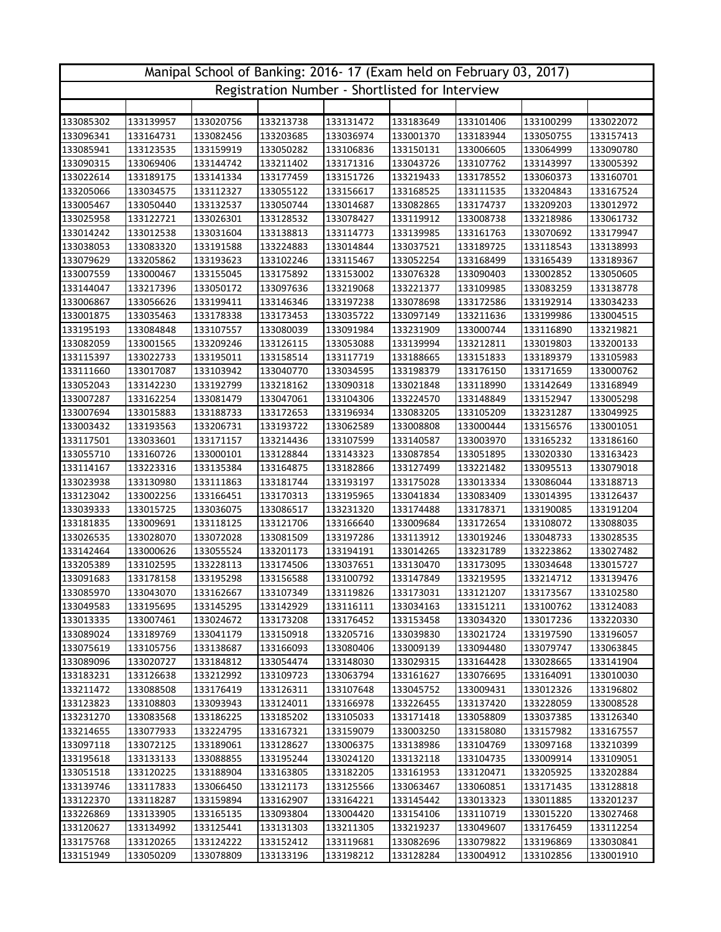| Manipal School of Banking: 2016-17 (Exam held on February 03, 2017) |                                                 |                        |           |           |                        |                        |                        |                        |  |  |  |
|---------------------------------------------------------------------|-------------------------------------------------|------------------------|-----------|-----------|------------------------|------------------------|------------------------|------------------------|--|--|--|
|                                                                     | Registration Number - Shortlisted for Interview |                        |           |           |                        |                        |                        |                        |  |  |  |
|                                                                     |                                                 |                        |           |           |                        |                        |                        |                        |  |  |  |
| 133085302                                                           | 133139957                                       | 133020756              | 133213738 | 133131472 | 133183649              | 133101406              | 133100299              | 133022072              |  |  |  |
| 133096341                                                           | 133164731                                       | 133082456              | 133203685 | 133036974 | 133001370              | 133183944              | 133050755              | 133157413              |  |  |  |
| 133085941                                                           | 133123535                                       | 133159919              | 133050282 | 133106836 | 133150131              | 133006605              | 133064999              | 133090780              |  |  |  |
| 133090315                                                           | 133069406                                       | 133144742              | 133211402 | 133171316 | 133043726              | 133107762              | 133143997              | 133005392              |  |  |  |
| 133022614                                                           | 133189175                                       | 133141334              | 133177459 | 133151726 | 133219433              | 133178552              | 133060373              | 133160701              |  |  |  |
| 133205066                                                           | 133034575                                       | 133112327              | 133055122 | 133156617 | 133168525              | 133111535              | 133204843              | 133167524              |  |  |  |
| 133005467                                                           | 133050440                                       | 133132537              | 133050744 | 133014687 | 133082865              | 133174737              | 133209203              | 133012972              |  |  |  |
| 133025958                                                           | 133122721                                       | 133026301              | 133128532 | 133078427 | 133119912              | 133008738              | 133218986              | 133061732              |  |  |  |
| 133014242                                                           | 133012538                                       | 133031604              | 133138813 | 133114773 | 133139985              | 133161763              | 133070692              | 133179947              |  |  |  |
| 133038053                                                           | 133083320                                       | 133191588              | 133224883 | 133014844 | 133037521              | 133189725              | 133118543              | 133138993              |  |  |  |
| 133079629                                                           | 133205862                                       | 133193623              | 133102246 | 133115467 | 133052254              | 133168499              | 133165439              | 133189367              |  |  |  |
| 133007559                                                           | 133000467                                       | 133155045              | 133175892 | 133153002 | 133076328              | 133090403              | 133002852              | 133050605              |  |  |  |
| 133144047                                                           | 133217396                                       | 133050172              | 133097636 | 133219068 | 133221377              | 133109985              | 133083259              | 133138778              |  |  |  |
| 133006867                                                           | 133056626                                       | 133199411              | 133146346 | 133197238 | 133078698              | 133172586              | 133192914              | 133034233              |  |  |  |
| 133001875                                                           | 133035463                                       | 133178338              | 133173453 | 133035722 | 133097149              | 133211636              | 133199986              | 133004515              |  |  |  |
| 133195193                                                           | 133084848                                       | 133107557              | 133080039 | 133091984 | 133231909              | 133000744              | 133116890              | 133219821              |  |  |  |
| 133082059                                                           | 133001565                                       | 133209246              | 133126115 | 133053088 | 133139994              | 133212811              | 133019803              | 133200133              |  |  |  |
| 133115397                                                           | 133022733                                       | 133195011              | 133158514 | 133117719 | 133188665              | 133151833              | 133189379              | 133105983              |  |  |  |
| 133111660                                                           | 133017087                                       | 133103942              | 133040770 | 133034595 | 133198379              | 133176150              | 133171659              | 133000762              |  |  |  |
| 133052043                                                           | 133142230                                       | 133192799              | 133218162 | 133090318 | 133021848              | 133118990              | 133142649              | 133168949              |  |  |  |
| 133007287                                                           | 133162254                                       | 133081479              | 133047061 | 133104306 | 133224570              | 133148849              | 133152947              | 133005298              |  |  |  |
| 133007694                                                           | 133015883                                       | 133188733              | 133172653 | 133196934 | 133083205              | 133105209              | 133231287              | 133049925              |  |  |  |
| 133003432                                                           | 133193563                                       | 133206731              | 133193722 | 133062589 | 133008808              | 133000444              | 133156576              | 133001051              |  |  |  |
| 133117501                                                           | 133033601                                       | 133171157              | 133214436 | 133107599 | 133140587              | 133003970              | 133165232              | 133186160              |  |  |  |
| 133055710                                                           | 133160726                                       | 133000101              | 133128844 | 133143323 | 133087854              | 133051895              | 133020330              | 133163423              |  |  |  |
| 133114167                                                           | 133223316                                       | 133135384              | 133164875 | 133182866 | 133127499              | 133221482              | 133095513              | 133079018              |  |  |  |
| 133023938                                                           | 133130980                                       | 133111863              | 133181744 | 133193197 | 133175028              | 133013334              | 133086044              | 133188713              |  |  |  |
| 133123042                                                           | 133002256                                       | 133166451              | 133170313 | 133195965 | 133041834              | 133083409              | 133014395              | 133126437              |  |  |  |
| 133039333                                                           | 133015725                                       | 133036075              | 133086517 | 133231320 | 133174488              | 133178371              | 133190085              | 133191204              |  |  |  |
| 133181835                                                           | 133009691                                       | 133118125              | 133121706 | 133166640 | 133009684              | 133172654              | 133108072              | 133088035              |  |  |  |
| 133026535                                                           | 133028070                                       | 133072028              | 133081509 | 133197286 | 133113912              | 133019246              | 133048733              | 133028535              |  |  |  |
| 133142464                                                           | 133000626                                       | 133055524              | 133201173 | 133194191 | 133014265              | 133231789              | 133223862              | 133027482              |  |  |  |
| 133205389                                                           | 133102595                                       | 133228113              | 133174506 | 133037651 | 133130470              | 133173095              | 133034648              | 133015727              |  |  |  |
| 133091683                                                           | 133178158                                       | 133195298              | 133156588 | 133100792 | 133147849              | 133219595              | 133214712              | 133139476              |  |  |  |
| 133085970                                                           | 133043070                                       | 133162667              | 133107349 | 133119826 | 133173031              | 133121207              | 133173567              | 133102580              |  |  |  |
| 133049583                                                           | 133195695                                       | 133145295              | 133142929 | 133116111 | 133034163              | 133151211              | 133100762              | 133124083              |  |  |  |
| 133013335                                                           | 133007461                                       | 133024672              | 133173208 | 133176452 | 133153458              | 133034320              | 133017236              | 133220330              |  |  |  |
| 133089024                                                           | 133189769                                       | 133041179              | 133150918 | 133205716 | 133039830              | 133021724              | 133197590              | 133196057              |  |  |  |
| 133075619                                                           | 133105756                                       | 133138687              | 133166093 | 133080406 | 133009139              | 133094480              | 133079747              | 133063845              |  |  |  |
| 133089096                                                           | 133020727                                       | 133184812              | 133054474 | 133148030 | 133029315              | 133164428              | 133028665              | 133141904              |  |  |  |
| 133183231                                                           | 133126638                                       | 133212992              | 133109723 | 133063794 | 133161627              | 133076695              | 133164091              | 133010030              |  |  |  |
| 133211472                                                           | 133088508                                       | 133176419              | 133126311 | 133107648 | 133045752              | 133009431              | 133012326              | 133196802              |  |  |  |
| 133123823                                                           | 133108803                                       | 133093943              | 133124011 | 133166978 | 133226455              | 133137420              | 133228059              | 133008528              |  |  |  |
| 133231270                                                           | 133083568                                       | 133186225              | 133185202 | 133105033 | 133171418              | 133058809              | 133037385              | 133126340              |  |  |  |
| 133214655                                                           | 133077933                                       | 133224795              | 133167321 | 133159079 | 133003250              | 133158080              | 133157982              | 133167557              |  |  |  |
| 133097118                                                           | 133072125                                       | 133189061              | 133128627 | 133006375 | 133138986              | 133104769              | 133097168              | 133210399              |  |  |  |
| 133195618                                                           | 133133133                                       | 133088855              | 133195244 | 133024120 | 133132118              | 133104735              | 133009914              | 133109051              |  |  |  |
| 133051518                                                           | 133120225                                       | 133188904              | 133163805 | 133182205 | 133161953              | 133120471              | 133205925              | 133202884              |  |  |  |
| 133139746                                                           | 133117833                                       | 133066450              | 133121173 | 133125566 | 133063467              | 133060851              | 133171435              | 133128818              |  |  |  |
| 133122370                                                           | 133118287                                       | 133159894              | 133162907 | 133164221 | 133145442              | 133013323              | 133011885              | 133201237              |  |  |  |
| 133226869                                                           | 133133905                                       | 133165135              | 133093804 | 133004420 | 133154106              | 133110719              | 133015220              | 133027468              |  |  |  |
| 133120627                                                           | 133134992                                       | 133125441              | 133131303 | 133211305 | 133219237              | 133049607              | 133176459              | 133112254              |  |  |  |
| 133175768<br>133151949                                              | 133120265<br>133050209                          | 133124222<br>133078809 | 133152412 | 133119681 | 133082696<br>133128284 | 133079822<br>133004912 | 133196869<br>133102856 | 133030841<br>133001910 |  |  |  |
|                                                                     |                                                 |                        | 133133196 | 133198212 |                        |                        |                        |                        |  |  |  |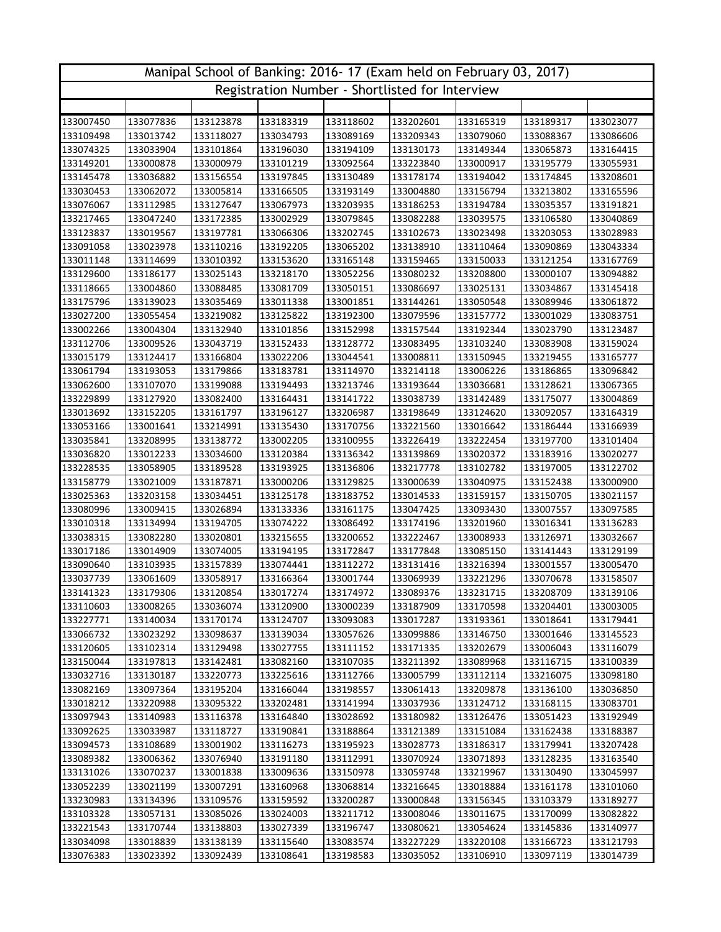| Manipal School of Banking: 2016-17 (Exam held on February 03, 2017) |                                                 |           |           |           |           |           |           |           |  |  |  |
|---------------------------------------------------------------------|-------------------------------------------------|-----------|-----------|-----------|-----------|-----------|-----------|-----------|--|--|--|
|                                                                     | Registration Number - Shortlisted for Interview |           |           |           |           |           |           |           |  |  |  |
|                                                                     |                                                 |           |           |           |           |           |           |           |  |  |  |
| 133007450                                                           | 133077836                                       | 133123878 | 133183319 | 133118602 | 133202601 | 133165319 | 133189317 | 133023077 |  |  |  |
| 133109498                                                           | 133013742                                       | 133118027 | 133034793 | 133089169 | 133209343 | 133079060 | 133088367 | 133086606 |  |  |  |
| 133074325                                                           | 133033904                                       | 133101864 | 133196030 | 133194109 | 133130173 | 133149344 | 133065873 | 133164415 |  |  |  |
| 133149201                                                           | 133000878                                       | 133000979 | 133101219 | 133092564 | 133223840 | 133000917 | 133195779 | 133055931 |  |  |  |
| 133145478                                                           | 133036882                                       | 133156554 | 133197845 | 133130489 | 133178174 | 133194042 | 133174845 | 133208601 |  |  |  |
| 133030453                                                           | 133062072                                       | 133005814 | 133166505 | 133193149 | 133004880 | 133156794 | 133213802 | 133165596 |  |  |  |
| 133076067                                                           | 133112985                                       | 133127647 | 133067973 | 133203935 | 133186253 | 133194784 | 133035357 | 133191821 |  |  |  |
| 133217465                                                           | 133047240                                       | 133172385 | 133002929 | 133079845 | 133082288 | 133039575 | 133106580 | 133040869 |  |  |  |
| 133123837                                                           | 133019567                                       | 133197781 | 133066306 | 133202745 | 133102673 | 133023498 | 133203053 | 133028983 |  |  |  |
| 133091058                                                           | 133023978                                       | 133110216 | 133192205 | 133065202 | 133138910 | 133110464 | 133090869 | 133043334 |  |  |  |
| 133011148                                                           | 133114699                                       | 133010392 | 133153620 | 133165148 | 133159465 | 133150033 | 133121254 | 133167769 |  |  |  |
| 133129600                                                           | 133186177                                       | 133025143 | 133218170 | 133052256 | 133080232 | 133208800 | 133000107 | 133094882 |  |  |  |
| 133118665                                                           | 133004860                                       | 133088485 | 133081709 | 133050151 | 133086697 | 133025131 | 133034867 | 133145418 |  |  |  |
| 133175796                                                           | 133139023                                       | 133035469 | 133011338 | 133001851 | 133144261 | 133050548 | 133089946 | 133061872 |  |  |  |
| 133027200                                                           | 133055454                                       | 133219082 | 133125822 | 133192300 | 133079596 | 133157772 | 133001029 | 133083751 |  |  |  |
| 133002266                                                           | 133004304                                       | 133132940 | 133101856 | 133152998 | 133157544 | 133192344 | 133023790 | 133123487 |  |  |  |
| 133112706                                                           | 133009526                                       | 133043719 | 133152433 | 133128772 | 133083495 | 133103240 | 133083908 | 133159024 |  |  |  |
| 133015179                                                           | 133124417                                       | 133166804 | 133022206 | 133044541 | 133008811 | 133150945 | 133219455 | 133165777 |  |  |  |
| 133061794                                                           | 133193053                                       | 133179866 | 133183781 | 133114970 | 133214118 | 133006226 | 133186865 | 133096842 |  |  |  |
| 133062600                                                           | 133107070                                       | 133199088 | 133194493 | 133213746 | 133193644 | 133036681 | 133128621 | 133067365 |  |  |  |
| 133229899                                                           | 133127920                                       | 133082400 | 133164431 | 133141722 | 133038739 | 133142489 | 133175077 | 133004869 |  |  |  |
| 133013692                                                           | 133152205                                       | 133161797 | 133196127 | 133206987 | 133198649 | 133124620 | 133092057 | 133164319 |  |  |  |
| 133053166                                                           | 133001641                                       | 133214991 | 133135430 | 133170756 | 133221560 | 133016642 | 133186444 | 133166939 |  |  |  |
| 133035841                                                           | 133208995                                       | 133138772 | 133002205 | 133100955 | 133226419 | 133222454 | 133197700 | 133101404 |  |  |  |
| 133036820                                                           | 133012233                                       | 133034600 | 133120384 | 133136342 | 133139869 | 133020372 | 133183916 | 133020277 |  |  |  |
| 133228535                                                           | 133058905                                       | 133189528 | 133193925 | 133136806 | 133217778 | 133102782 | 133197005 | 133122702 |  |  |  |
| 133158779                                                           | 133021009                                       | 133187871 | 133000206 | 133129825 | 133000639 | 133040975 | 133152438 | 133000900 |  |  |  |
| 133025363                                                           | 133203158                                       | 133034451 | 133125178 | 133183752 | 133014533 | 133159157 | 133150705 | 133021157 |  |  |  |
| 133080996                                                           | 133009415                                       | 133026894 | 133133336 | 133161175 | 133047425 | 133093430 | 133007557 | 133097585 |  |  |  |
| 133010318                                                           | 133134994                                       | 133194705 | 133074222 | 133086492 | 133174196 | 133201960 | 133016341 | 133136283 |  |  |  |
| 133038315                                                           | 133082280                                       | 133020801 | 133215655 | 133200652 | 133222467 | 133008933 | 133126971 | 133032667 |  |  |  |
| 133017186                                                           | 133014909                                       | 133074005 | 133194195 | 133172847 | 133177848 | 133085150 | 133141443 | 133129199 |  |  |  |
| 133090640                                                           | 133103935                                       | 133157839 | 133074441 | 133112272 | 133131416 | 133216394 | 133001557 | 133005470 |  |  |  |
| 133037739                                                           | 133061609                                       | 133058917 | 133166364 | 133001744 | 133069939 | 133221296 | 133070678 | 133158507 |  |  |  |
| 133141323                                                           | 133179306                                       | 133120854 | 133017274 | 133174972 | 133089376 | 133231715 | 133208709 | 133139106 |  |  |  |
| 133110603                                                           | 133008265                                       | 133036074 | 133120900 | 133000239 | 133187909 | 133170598 | 133204401 | 133003005 |  |  |  |
| 133227771                                                           | 133140034                                       | 133170174 | 133124707 | 133093083 | 133017287 | 133193361 | 133018641 | 133179441 |  |  |  |
| 133066732                                                           | 133023292                                       | 133098637 | 133139034 | 133057626 | 133099886 | 133146750 | 133001646 | 133145523 |  |  |  |
| 133120605                                                           | 133102314                                       | 133129498 | 133027755 | 133111152 | 133171335 | 133202679 | 133006043 | 133116079 |  |  |  |
| 133150044                                                           | 133197813                                       | 133142481 | 133082160 | 133107035 | 133211392 | 133089968 | 133116715 | 133100339 |  |  |  |
| 133032716                                                           | 133130187                                       | 133220773 | 133225616 | 133112766 | 133005799 | 133112114 | 133216075 | 133098180 |  |  |  |
| 133082169                                                           | 133097364                                       | 133195204 | 133166044 | 133198557 | 133061413 | 133209878 | 133136100 | 133036850 |  |  |  |
| 133018212                                                           | 133220988                                       | 133095322 | 133202481 | 133141994 | 133037936 | 133124712 | 133168115 | 133083701 |  |  |  |
| 133097943                                                           | 133140983                                       | 133116378 | 133164840 | 133028692 | 133180982 | 133126476 | 133051423 | 133192949 |  |  |  |
| 133092625                                                           | 133033987                                       | 133118727 | 133190841 | 133188864 | 133121389 | 133151084 | 133162438 | 133188387 |  |  |  |
| 133094573                                                           | 133108689                                       | 133001902 | 133116273 | 133195923 | 133028773 | 133186317 | 133179941 | 133207428 |  |  |  |
| 133089382                                                           | 133006362                                       | 133076940 | 133191180 | 133112991 | 133070924 | 133071893 | 133128235 | 133163540 |  |  |  |
| 133131026                                                           | 133070237                                       | 133001838 | 133009636 | 133150978 | 133059748 | 133219967 | 133130490 | 133045997 |  |  |  |
| 133052239                                                           | 133021199                                       | 133007291 | 133160968 | 133068814 | 133216645 | 133018884 | 133161178 | 133101060 |  |  |  |
| 133230983                                                           | 133134396                                       | 133109576 | 133159592 | 133200287 | 133000848 | 133156345 | 133103379 | 133189277 |  |  |  |
| 133103328                                                           | 133057131                                       | 133085026 | 133024003 | 133211712 | 133008046 | 133011675 | 133170099 | 133082822 |  |  |  |
| 133221543                                                           | 133170744                                       | 133138803 | 133027339 | 133196747 | 133080621 | 133054624 | 133145836 | 133140977 |  |  |  |
| 133034098                                                           | 133018839                                       | 133138139 | 133115640 | 133083574 | 133227229 | 133220108 | 133166723 | 133121793 |  |  |  |
| 133076383                                                           | 133023392                                       | 133092439 | 133108641 | 133198583 | 133035052 | 133106910 | 133097119 | 133014739 |  |  |  |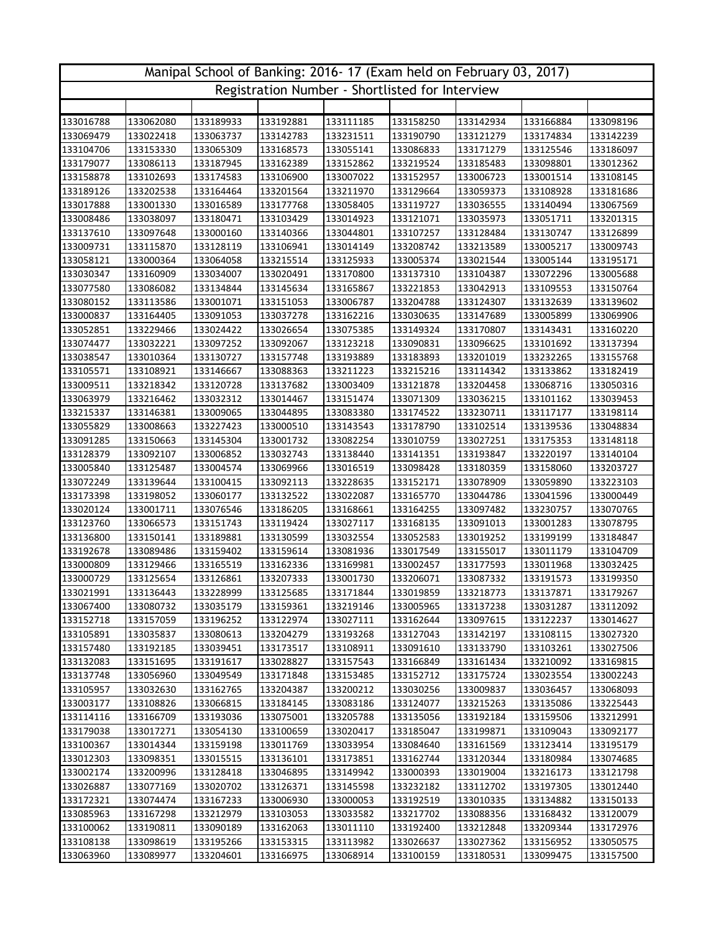| Manipal School of Banking: 2016-17 (Exam held on February 03, 2017) |           |           |           |                                                 |           |           |           |           |  |  |
|---------------------------------------------------------------------|-----------|-----------|-----------|-------------------------------------------------|-----------|-----------|-----------|-----------|--|--|
|                                                                     |           |           |           | Registration Number - Shortlisted for Interview |           |           |           |           |  |  |
|                                                                     |           |           |           |                                                 |           |           |           |           |  |  |
| 133016788                                                           | 133062080 | 133189933 | 133192881 | 133111185                                       | 133158250 | 133142934 | 133166884 | 133098196 |  |  |
| 133069479                                                           | 133022418 | 133063737 | 133142783 | 133231511                                       | 133190790 | 133121279 | 133174834 | 133142239 |  |  |
| 133104706                                                           | 133153330 | 133065309 | 133168573 | 133055141                                       | 133086833 | 133171279 | 133125546 | 133186097 |  |  |
| 133179077                                                           | 133086113 | 133187945 | 133162389 | 133152862                                       | 133219524 | 133185483 | 133098801 | 133012362 |  |  |
| 133158878                                                           | 133102693 | 133174583 | 133106900 | 133007022                                       | 133152957 | 133006723 | 133001514 | 133108145 |  |  |
| 133189126                                                           | 133202538 | 133164464 | 133201564 | 133211970                                       | 133129664 | 133059373 | 133108928 | 133181686 |  |  |
| 133017888                                                           | 133001330 | 133016589 | 133177768 | 133058405                                       | 133119727 | 133036555 | 133140494 | 133067569 |  |  |
| 133008486                                                           | 133038097 | 133180471 | 133103429 | 133014923                                       | 133121071 | 133035973 | 133051711 | 133201315 |  |  |
| 133137610                                                           | 133097648 | 133000160 | 133140366 | 133044801                                       | 133107257 | 133128484 | 133130747 | 133126899 |  |  |
| 133009731                                                           | 133115870 | 133128119 | 133106941 | 133014149                                       | 133208742 | 133213589 | 133005217 | 133009743 |  |  |
| 133058121                                                           | 133000364 | 133064058 | 133215514 | 133125933                                       | 133005374 | 133021544 | 133005144 | 133195171 |  |  |
| 133030347                                                           | 133160909 | 133034007 | 133020491 | 133170800                                       | 133137310 | 133104387 | 133072296 | 133005688 |  |  |
| 133077580                                                           | 133086082 | 133134844 | 133145634 | 133165867                                       | 133221853 | 133042913 | 133109553 | 133150764 |  |  |
| 133080152                                                           | 133113586 | 133001071 | 133151053 | 133006787                                       | 133204788 | 133124307 | 133132639 | 133139602 |  |  |
| 133000837                                                           | 133164405 | 133091053 | 133037278 | 133162216                                       | 133030635 | 133147689 | 133005899 | 133069906 |  |  |
| 133052851                                                           | 133229466 | 133024422 | 133026654 | 133075385                                       | 133149324 | 133170807 | 133143431 | 133160220 |  |  |
| 133074477                                                           | 133032221 | 133097252 | 133092067 | 133123218                                       | 133090831 | 133096625 | 133101692 | 133137394 |  |  |
| 133038547                                                           | 133010364 | 133130727 | 133157748 | 133193889                                       | 133183893 | 133201019 | 133232265 | 133155768 |  |  |
| 133105571                                                           | 133108921 | 133146667 | 133088363 | 133211223                                       | 133215216 | 133114342 | 133133862 | 133182419 |  |  |
| 133009511                                                           | 133218342 | 133120728 | 133137682 | 133003409                                       | 133121878 | 133204458 | 133068716 | 133050316 |  |  |
| 133063979                                                           | 133216462 | 133032312 | 133014467 | 133151474                                       | 133071309 | 133036215 | 133101162 | 133039453 |  |  |
| 133215337                                                           | 133146381 | 133009065 | 133044895 | 133083380                                       | 133174522 | 133230711 | 133117177 | 133198114 |  |  |
| 133055829                                                           | 133008663 | 133227423 | 133000510 | 133143543                                       | 133178790 | 133102514 | 133139536 | 133048834 |  |  |
| 133091285                                                           | 133150663 | 133145304 | 133001732 | 133082254                                       | 133010759 | 133027251 | 133175353 | 133148118 |  |  |
| 133128379                                                           | 133092107 | 133006852 | 133032743 | 133138440                                       | 133141351 | 133193847 | 133220197 | 133140104 |  |  |
| 133005840                                                           | 133125487 | 133004574 | 133069966 | 133016519                                       | 133098428 | 133180359 | 133158060 | 133203727 |  |  |
| 133072249                                                           | 133139644 | 133100415 | 133092113 | 133228635                                       | 133152171 | 133078909 | 133059890 | 133223103 |  |  |
| 133173398                                                           | 133198052 | 133060177 | 133132522 | 133022087                                       | 133165770 | 133044786 | 133041596 | 133000449 |  |  |
| 133020124                                                           | 133001711 | 133076546 | 133186205 | 133168661                                       | 133164255 | 133097482 | 133230757 | 133070765 |  |  |
| 133123760                                                           | 133066573 | 133151743 | 133119424 | 133027117                                       | 133168135 | 133091013 | 133001283 | 133078795 |  |  |
| 133136800                                                           | 133150141 | 133189881 | 133130599 | 133032554                                       | 133052583 | 133019252 | 133199199 | 133184847 |  |  |
| 133192678                                                           | 133089486 | 133159402 | 133159614 | 133081936                                       | 133017549 | 133155017 | 133011179 | 133104709 |  |  |
| 133000809                                                           | 133129466 | 133165519 | 133162336 | 133169981                                       | 133002457 | 133177593 | 133011968 | 133032425 |  |  |
| 133000729                                                           | 133125654 | 133126861 | 133207333 | 133001730                                       | 133206071 | 133087332 | 133191573 | 133199350 |  |  |
| 133021991                                                           | 133136443 | 133228999 | 133125685 | 133171844                                       | 133019859 | 133218773 | 133137871 | 133179267 |  |  |
| 133067400                                                           | 133080732 | 133035179 | 133159361 | 133219146                                       | 133005965 | 133137238 | 133031287 | 133112092 |  |  |
| 133152718                                                           | 133157059 | 133196252 | 133122974 | 133027111                                       | 133162644 | 133097615 | 133122237 | 133014627 |  |  |
| 133105891                                                           | 133035837 | 133080613 | 133204279 | 133193268                                       | 133127043 | 133142197 | 133108115 | 133027320 |  |  |
| 133157480                                                           | 133192185 | 133039451 | 133173517 | 133108911                                       | 133091610 | 133133790 | 133103261 | 133027506 |  |  |
| 133132083                                                           | 133151695 | 133191617 | 133028827 | 133157543                                       | 133166849 | 133161434 | 133210092 | 133169815 |  |  |
| 133137748                                                           | 133056960 | 133049549 | 133171848 | 133153485                                       | 133152712 | 133175724 | 133023554 | 133002243 |  |  |
| 133105957                                                           | 133032630 | 133162765 | 133204387 | 133200212                                       | 133030256 | 133009837 | 133036457 | 133068093 |  |  |
| 133003177                                                           | 133108826 | 133066815 | 133184145 | 133083186                                       | 133124077 | 133215263 | 133135086 | 133225443 |  |  |
| 133114116                                                           | 133166709 | 133193036 | 133075001 | 133205788                                       | 133135056 | 133192184 | 133159506 | 133212991 |  |  |
| 133179038                                                           | 133017271 | 133054130 | 133100659 | 133020417                                       | 133185047 | 133199871 | 133109043 | 133092177 |  |  |
| 133100367                                                           | 133014344 | 133159198 | 133011769 | 133033954                                       | 133084640 | 133161569 | 133123414 | 133195179 |  |  |
| 133012303                                                           | 133098351 | 133015515 | 133136101 | 133173851                                       | 133162744 | 133120344 | 133180984 | 133074685 |  |  |
| 133002174                                                           | 133200996 | 133128418 | 133046895 | 133149942                                       | 133000393 | 133019004 | 133216173 | 133121798 |  |  |
| 133026887                                                           | 133077169 | 133020702 | 133126371 | 133145598                                       | 133232182 | 133112702 | 133197305 | 133012440 |  |  |
| 133172321                                                           | 133074474 | 133167233 | 133006930 | 133000053                                       | 133192519 | 133010335 | 133134882 | 133150133 |  |  |
| 133085963                                                           | 133167298 | 133212979 | 133103053 | 133033582                                       | 133217702 | 133088356 | 133168432 | 133120079 |  |  |
| 133100062                                                           | 133190811 | 133090189 | 133162063 | 133011110                                       | 133192400 | 133212848 | 133209344 | 133172976 |  |  |
| 133108138                                                           | 133098619 | 133195266 | 133153315 | 133113982                                       | 133026637 | 133027362 | 133156952 | 133050575 |  |  |
| 133063960                                                           | 133089977 | 133204601 | 133166975 | 133068914                                       | 133100159 | 133180531 | 133099475 | 133157500 |  |  |